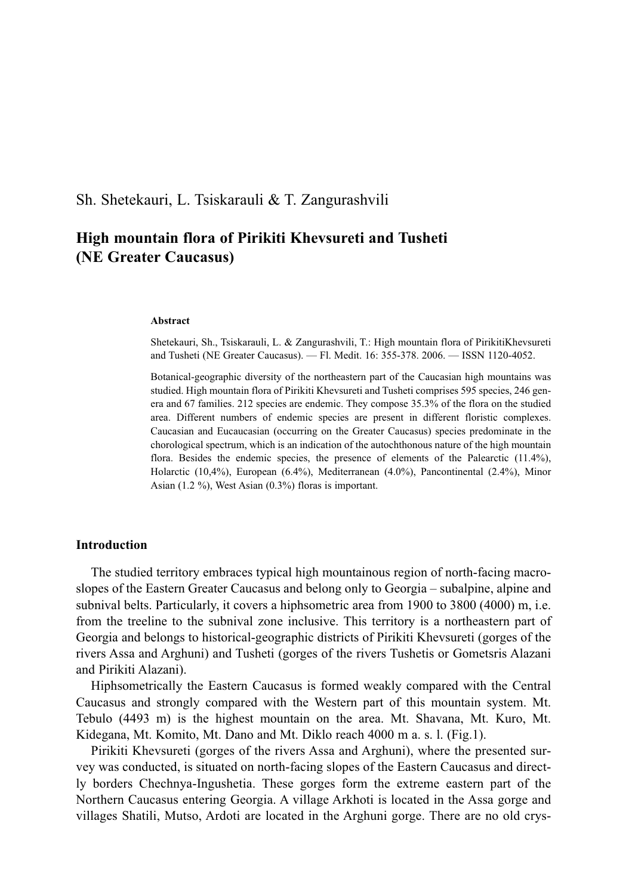Sh. Shetekauri, L. Tsiskarauli & T. Zangurashvili

# **High mountain flora of Pirikiti Khevsureti and Tusheti (NE Greater Caucasus)**

#### **Abstract**

Shetekauri, Sh., Tsiskarauli, L. & Zangurashvili, T.: High mountain flora of PirikitiKhevsureti and Tusheti (NE Greater Caucasus). — Fl. Medit. 16: 355-378. 2006. — ISSN 1120-4052.

Botanical-geographic diversity of the northeastern part of the Caucasian high mountains was studied. High mountain flora of Pirikiti Khevsureti and Tusheti comprises 595 species, 246 genera and 67 families. 212 species are endemic. They compose 35.3% of the flora on the studied area. Different numbers of endemic species are present in different floristic complexes. Caucasian and Eucaucasian (occurring on the Greater Caucasus) species predominate in the chorological spectrum, which is an indication of the autochthonous nature of the high mountain flora. Besides the endemic species, the presence of elements of the Palearctic  $(11.4\%)$ , Holarctic (10,4%), European (6.4%), Mediterranean (4.0%), Pancontinental (2.4%), Minor Asian (1.2 %), West Asian (0.3%) floras is important.

## **Introduction**

The studied territory embraces typical high mountainous region of north-facing macroslopes of the Eastern Greater Caucasus and belong only to Georgia – subalpine, alpine and subnival belts. Particularly, it covers a hiphsometric area from 1900 to 3800 (4000) m, i.e. from the treeline to the subnival zone inclusive. This territory is a northeastern part of Georgia and belongs to historical-geographic districts of Pirikiti Khevsureti (gorges of the rivers Assa and Arghuni) and Tusheti (gorges of the rivers Tushetis or Gometsris Alazani and Pirikiti Alazani).

Hiphsometrically the Eastern Caucasus is formed weakly compared with the Central Caucasus and strongly compared with the Western part of this mountain system. Mt. Tebulo (4493 m) is the highest mountain on the area. Mt. Shavana, Mt. Kuro, Mt. Kidegana, Mt. Komito, Mt. Dano and Mt. Diklo reach 4000 m a. s. l. (Fig.1).

Pirikiti Khevsureti (gorges of the rivers Assa and Arghuni), where the presented survey was conducted, is situated on north-facing slopes of the Eastern Caucasus and directly borders Chechnya-Ingushetia. These gorges form the extreme eastern part of the Northern Caucasus entering Georgia. A village Arkhoti is located in the Assa gorge and villages Shatili, Mutso, Ardoti are located in the Arghuni gorge. There are no old crys-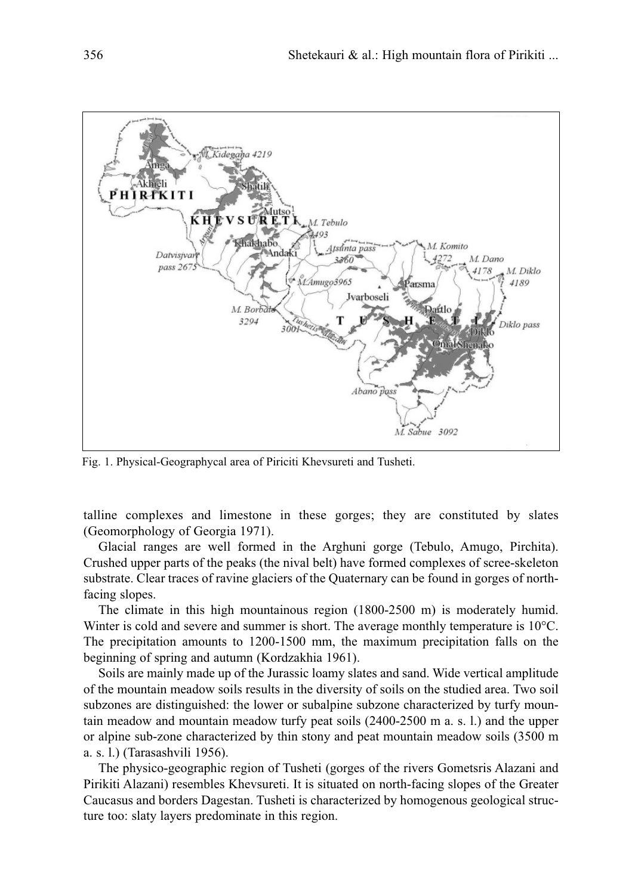

Fig. 1. Physical-Geographycal area of Piriciti Khevsureti and Tusheti.

talline complexes and limestone in these gorges; they are constituted by slates (Geomorphology of Georgia 1971).

Glacial ranges are well formed in the Arghuni gorge (Tebulo, Amugo, Pirchita). Crushed upper parts of the peaks (the nival belt) have formed complexes of scree-skeleton substrate. Clear traces of ravine glaciers of the Quaternary can be found in gorges of northfacing slopes.

The climate in this high mountainous region (1800-2500 m) is moderately humid. Winter is cold and severe and summer is short. The average monthly temperature is 10<sup>o</sup>C. The precipitation amounts to 1200-1500 mm, the maximum precipitation falls on the beginning of spring and autumn (Kordzakhia 1961).

Soils are mainly made up of the Jurassic loamy slates and sand. Wide vertical amplitude of the mountain meadow soils results in the diversity of soils on the studied area. Two soil subzones are distinguished: the lower or subalpine subzone characterized by turfy mountain meadow and mountain meadow turfy peat soils (2400-2500 m a. s. l.) and the upper or alpine sub-zone characterized by thin stony and peat mountain meadow soils (3500 m a. s. l.) (Tarasashvili 1956).

The physico-geographic region of Tusheti (gorges of the rivers Gometsris Alazani and Pirikiti Alazani) resembles Khevsureti. It is situated on north-facing slopes of the Greater Caucasus and borders Dagestan. Tusheti is characterized by homogenous geological structure too: slaty layers predominate in this region.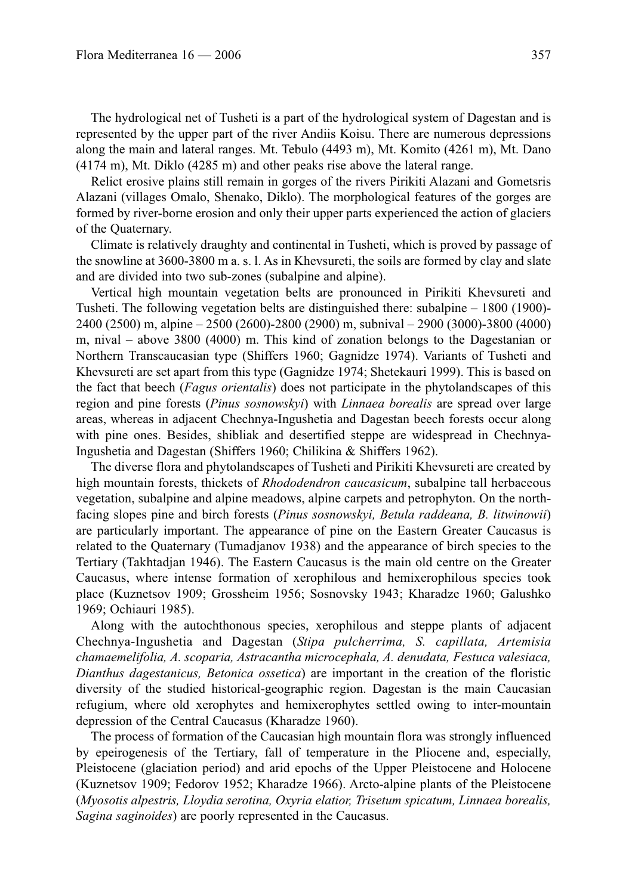The hydrological net of Tusheti is a part of the hydrological system of Dagestan and is represented by the upper part of the river Andiis Koisu. There are numerous depressions along the main and lateral ranges. Mt. Tebulo (4493 m), Mt. Komito (4261 m), Mt. Dano (4174 m), Mt. Diklo (4285 m) and other peaks rise above the lateral range.

Relict erosive plains still remain in gorges of the rivers Pirikiti Alazani and Gometsris Alazani (villages Omalo, Shenako, Diklo). The morphological features of the gorges are formed by river-borne erosion and only their upper parts experienced the action of glaciers of the Quaternary.

Climate is relatively draughty and continental in Tusheti, which is proved by passage of the snowline at 3600-3800 m a. s. l. As in Khevsureti, the soils are formed by clay and slate and are divided into two sub-zones (subalpine and alpine).

Vertical high mountain vegetation belts are pronounced in Pirikiti Khevsureti and Tusheti. The following vegetation belts are distinguished there: subalpine – 1800 (1900)- 2400 (2500) m, alpine – 2500 (2600)-2800 (2900) m, subnival – 2900 (3000)-3800 (4000) m, nival – above 3800 (4000) m. This kind of zonation belongs to the Dagestanian or Northern Transcaucasian type (Shiffers 1960; Gagnidze 1974). Variants of Tusheti and Khevsureti are set apart from this type (Gagnidze 1974; Shetekauri 1999). This is based on the fact that beech (*Fagus orientalis*) does not participate in the phytolandscapes of this region and pine forests (*Pinus sosnowskyi*) with *Linnaea borealis* are spread over large areas, whereas in adjacent Chechnya-Ingushetia and Dagestan beech forests occur along with pine ones. Besides, shibliak and desertified steppe are widespread in Chechnya-Ingushetia and Dagestan (Shiffers 1960; Chilikina & Shiffers 1962).

The diverse flora and phytolandscapes of Tusheti and Pirikiti Khevsureti are created by high mountain forests, thickets of *Rhododendron caucasicum*, subalpine tall herbaceous vegetation, subalpine and alpine meadows, alpine carpets and petrophyton. On the northfacing slopes pine and birch forests (*Pinus sosnowskyi, Betula raddeana, B. litwinowii*) are particularly important. The appearance of pine on the Eastern Greater Caucasus is related to the Quaternary (Tumadjanov 1938) and the appearance of birch species to the Tertiary (Takhtadjan 1946). The Eastern Caucasus is the main old centre on the Greater Caucasus, where intense formation of xerophilous and hemixerophilous species took place (Kuznetsov 1909; Grossheim 1956; Sosnovsky 1943; Kharadze 1960; Galushko 1969; Ochiauri 1985).

Along with the autochthonous species, xerophilous and steppe plants of adjacent Chechnya-Ingushetia and Dagestan (*Stipa pulcherrima, S. capillata, Artemisia chamaemelifolia, A. scoparia, Astracantha microcephala, A. denudata, Festuca valesiaca, Dianthus dagestanicus, Betonica ossetica*) are important in the creation of the floristic diversity of the studied historical-geographic region. Dagestan is the main Caucasian refugium, where old xerophytes and hemixerophytes settled owing to inter-mountain depression of the Central Caucasus (Kharadze 1960).

The process of formation of the Caucasian high mountain flora was strongly influenced by epeirogenesis of the Tertiary, fall of temperature in the Pliocene and, especially, Pleistocene (glaciation period) and arid epochs of the Upper Pleistocene and Holocene (Kuznetsov 1909; Fedorov 1952; Kharadze 1966). Arcto-alpine plants of the Pleistocene (*Myosotis alpestris, Lloydia serotina, Oxyria elatior, Trisetum spicatum, Linnaea borealis, Sagina saginoides*) are poorly represented in the Caucasus.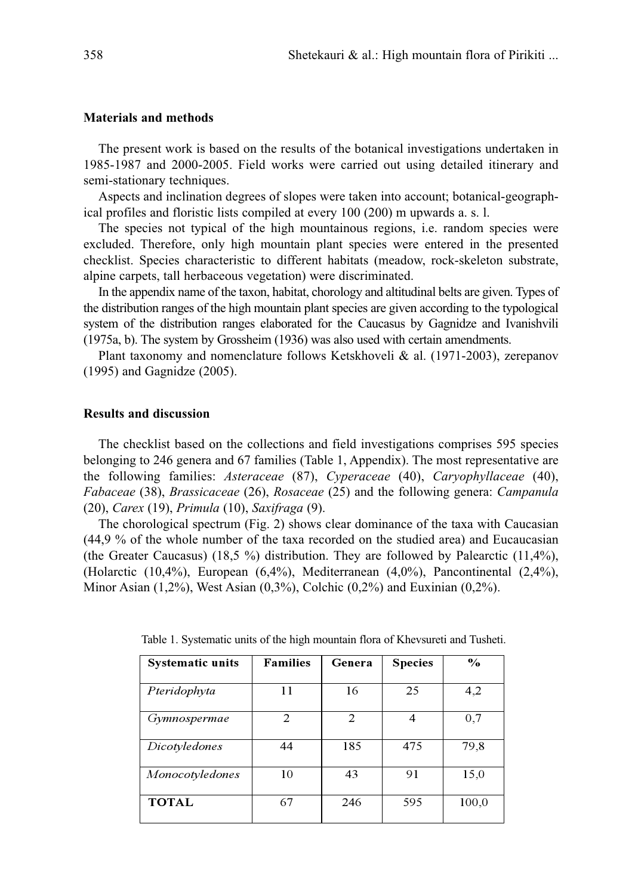## **Materials and methods**

The present work is based on the results of the botanical investigations undertaken in 1985-1987 and 2000-2005. Field works were carried out using detailed itinerary and semi-stationary techniques.

Aspects and inclination degrees of slopes were taken into account; botanical-geographical profiles and floristic lists compiled at every 100 (200) m upwards a. s. l.

The species not typical of the high mountainous regions, i.e. random species were excluded. Therefore, only high mountain plant species were entered in the presented checklist. Species characteristic to different habitats (meadow, rock-skeleton substrate, alpine carpets, tall herbaceous vegetation) were discriminated.

In the appendix name of the taxon, habitat, chorology and altitudinal belts are given. Types of the distribution ranges of the high mountain plant species are given according to the typological system of the distribution ranges elaborated for the Caucasus by Gagnidze and Ivanishvili (1975a, b). The system by Grossheim (1936) was also used with certain amendments.

Plant taxonomy and nomenclature follows Ketskhoveli & al. (1971-2003), zerepanov (1995) and Gagnidze (2005).

## **Results and discussion**

The checklist based on the collections and field investigations comprises 595 species belonging to 246 genera and 67 families (Table 1, Appendix). The most representative are the following families: *Asteraceae* (87), *Cyperaceae* (40), *Caryophyllaceae* (40), *Fabaceae* (38), *Brassicaceae* (26), *Rosaceae* (25) and the following genera: *Campanula* (20), *Carex* (19), *Primula* (10), *Saxifraga* (9).

The chorological spectrum (Fig. 2) shows clear dominance of the taxa with Caucasian (44,9 % of the whole number of the taxa recorded on the studied area) and Eucaucasian (the Greater Caucasus) (18,5 %) distribution. They are followed by Palearctic  $(11,4\%)$ , (Holarctic (10,4%), European (6,4%), Mediterranean (4,0%), Pancontinental (2,4%), Minor Asian (1,2%), West Asian (0,3%), Colchic (0,2%) and Euxinian (0,2%).

| <b>Systematic units</b> | <b>Families</b> | Genera | <b>Species</b>           | $\frac{0}{\alpha}$ |
|-------------------------|-----------------|--------|--------------------------|--------------------|
| Pteridophyta            | 11              | 16     | 25                       | 4,2                |
| Gymnospermae            | 2               | 2      | $\overline{\mathcal{A}}$ | 0,7                |
| Dicotyledones           | 44              | 185    | 475                      | 79,8               |
| Monocotyledones         | 10              | 43     | 91                       | 15,0               |
| <b>TOTAL</b>            | 67              | 246    | 595                      | 100,0              |

Table 1. Systematic units of the high mountain flora of Khevsureti and Tusheti.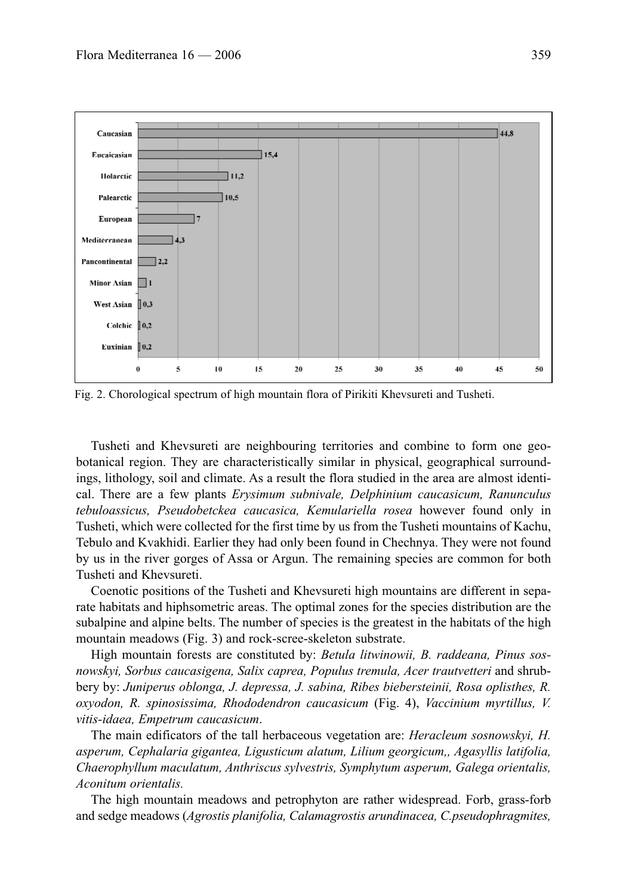

Fig. 2. Chorological spectrum of high mountain flora of Pirikiti Khevsureti and Tusheti.

Tusheti and Khevsureti are neighbouring territories and combine to form one geobotanical region. They are characteristically similar in physical, geographical surroundings, lithology, soil and climate. As a result the flora studied in the area are almost identical. There are a few plants *Erysimum subnivale, Delphinium caucasicum, Ranunculus tebuloassicus, Pseudobetckea caucasica, Kemulariella rosea* however found only in Tusheti, which were collected for the first time by us from the Tusheti mountains of Kachu, Tebulo and Kvakhidi. Earlier they had only been found in Chechnya. They were not found by us in the river gorges of Assa or Argun. The remaining species are common for both Tusheti and Khevsureti.

Coenotic positions of the Tusheti and Khevsureti high mountains are different in separate habitats and hiphsometric areas. The optimal zones for the species distribution are the subalpine and alpine belts. The number of species is the greatest in the habitats of the high mountain meadows (Fig. 3) and rock-scree-skeleton substrate.

High mountain forests are constituted by: *Betula litwinowii, B. raddeana, Pinus sosnowskyi, Sorbus caucasigena, Salix caprea, Populus tremula, Acer trautvetteri* and shrubbery by: *Juniperus oblonga, J. depressa, J. sabina, Ribes biebersteinii, Rosa oplisthes, R. oxyodon, R. spinosissima, Rhododendron caucasicum* (Fig. 4), *Vaccinium myrtillus, V. vitis-idaea, Empetrum caucasicum*.

The main edificators of the tall herbaceous vegetation are: *Heracleum sosnowskyi, H. asperum, Cephalaria gigantea, Ligusticum alatum, Lilium georgicum,, Agasyllis latifolia, Chaerophyllum maculatum, Anthriscus sylvestris, Symphytum asperum, Galega orientalis, Aconitum orientalis.*

The high mountain meadows and petrophyton are rather widespread. Forb, grass-forb and sedge meadows (*Agrostis planifolia, Calamagrostis arundinacea, C.pseudophragmites,*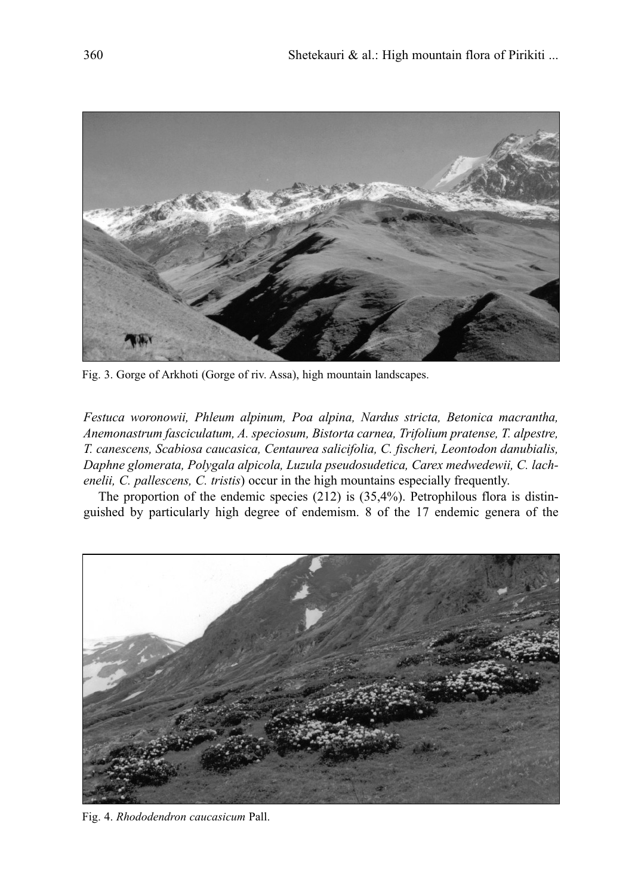

Fig. 3. Gorge of Arkhoti (Gorge of riv. Assa), high mountain landscapes.

*Festuca woronowii, Phleum alpinum, Poa alpina, Nardus stricta, Betonica macrantha, Anemonastrum fasciculatum, A. speciosum, Bistorta carnea, Trifolium pratense, T. alpestre, T. canescens, Scabiosa caucasica, Centaurea salicifolia, C. fischeri, Leontodon danubialis, Daphne glomerata, Polygala alpicola, Luzula pseudosudetica, Carex medwedewii, C. lachenelii, C. pallescens, C. tristis*) occur in the high mountains especially frequently.

The proportion of the endemic species  $(212)$  is  $(35,4\%)$ . Petrophilous flora is distinguished by particularly high degree of endemism. 8 of the 17 endemic genera of the



Fig. 4. *Rhododendron caucasicum* Pall.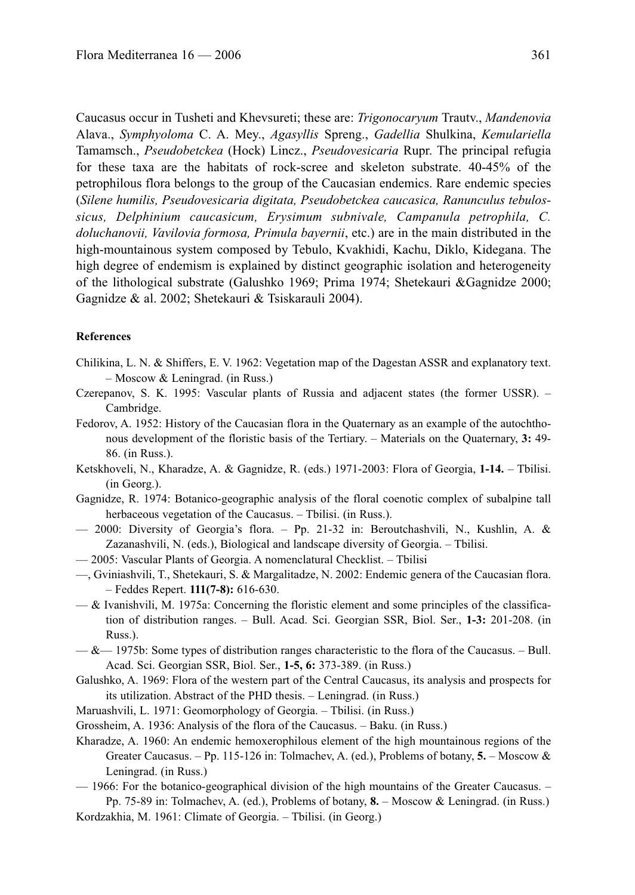Caucasus occur in Tusheti and Khevsureti; these are: *Trigonocaryum* Trautv., *Mandenovia* Alava., *Symphyoloma* C. A. Mey., *Agasyllis* Spreng., *Gadellia* Shulkina, *Kemulariella* Tamamsch., *Pseudobetckea* (Hock) Lincz., *Pseudovesicaria* Rupr. The principal refugia for these taxa are the habitats of rock-scree and skeleton substrate. 40-45% of the petrophilous flora belongs to the group of the Caucasian endemics. Rare endemic species (*Silene humilis, Pseudovesicaria digitata, Pseudobetckea caucasica, Ranunculus tebulossicus, Delphinium caucasicum, Erysimum subnivale, Campanula petrophila, C. doluchanovii, Vavilovia formosa, Primula bayernii*, etc.) are in the main distributed in the high-mountainous system composed by Tebulo, Kvakhidi, Kachu, Diklo, Kidegana. The high degree of endemism is explained by distinct geographic isolation and heterogeneity of the lithological substrate (Galushko 1969; Prima 1974; Shetekauri &Gagnidze 2000; Gagnidze & al. 2002; Shetekauri & Tsiskarauli 2004).

### **References**

- Chilikina, L. N. & Shiffers, E. V. 1962: Vegetation map of the Dagestan ASSR and explanatory text. – Moscow & Leningrad. (in Russ.)
- Czerepanov, S. K. 1995: Vascular plants of Russia and adjacent states (the former USSR). Cambridge.
- Fedorov, A. 1952: History of the Caucasian flora in the Quaternary as an example of the autochthonous development of the floristic basis of the Tertiary. – Materials on the Quaternary, **3:** 49- 86. (in Russ.).
- Ketskhoveli, N., Kharadze, A. & Gagnidze, R. (eds.) 1971-2003: Flora of Georgia, **1-14.** Tbilisi. (in Georg.).
- Gagnidze, R. 1974: Botanico-geographic analysis of the floral coenotic complex of subalpine tall herbaceous vegetation of the Caucasus. – Tbilisi. (in Russ.).
- 2000: Diversity of Georgia's flora. Pp. 21-32 in: Beroutchashvili, N., Kushlin, A. & Zazanashvili, N. (eds.), Biological and landscape diversity of Georgia. – Tbilisi.
- 2005: Vascular Plants of Georgia. A nomenclatural Checklist. Tbilisi
- —, Gviniashvili, T., Shetekauri, S. & Margalitadze, N. 2002: Endemic genera of the Caucasian flora. – Feddes Repert. **111(7-8):** 616-630.
- $-\&$  Ivanishvili, M. 1975a: Concerning the floristic element and some principles of the classification of distribution ranges. – Bull. Acad. Sci. Georgian SSR, Biol. Ser., **1-3:** 201-208. (in Russ.).
- $-\&$  1975b: Some types of distribution ranges characteristic to the flora of the Caucasus. Bull. Acad. Sci. Georgian SSR, Biol. Ser., **1-5, 6:** 373-389. (in Russ.)
- Galushko, A. 1969: Flora of the western part of the Central Caucasus, its analysis and prospects for its utilization. Abstract of the PHD thesis. – Leningrad. (in Russ.)
- Maruashvili, L. 1971: Geomorphology of Georgia. Tbilisi. (in Russ.)
- Grossheim, A. 1936: Analysis of the flora of the Caucasus. Baku. (in Russ.)
- Kharadze, A. 1960: An endemic hemoxerophilous element of the high mountainous regions of the Greater Caucasus. – Pp. 115-126 in: Tolmachev, A. (ed.), Problems of botany, **5.** – Moscow & Leningrad. (in Russ.)
- 1966: For the botanico-geographical division of the high mountains of the Greater Caucasus. Pp. 75-89 in: Tolmachev, A. (ed.), Problems of botany, **8.** – Moscow & Leningrad. (in Russ.)

Kordzakhia, M. 1961: Climate of Georgia. – Tbilisi. (in Georg.)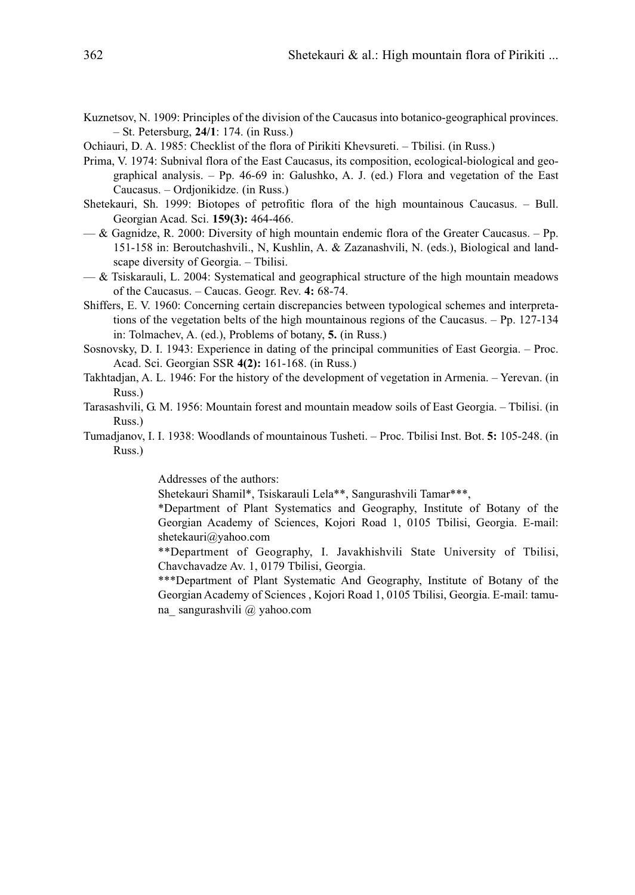- Kuznetsov, N. 1909: Principles of the division of the Caucasus into botanico-geographical provinces. – St. Petersburg, **24/1**: 174. (in Russ.)
- Ochiauri, D. A. 1985: Checklist of the flora of Pirikiti Khevsureti. Tbilisi. (in Russ.)
- Prima, V. 1974: Subnival flora of the East Caucasus, its composition, ecological-biological and geographical analysis. – Pp. 46-69 in: Galushko, A. J. (ed.) Flora and vegetation of the East Caucasus. – Ordjonikidze. (in Russ.)
- Shetekauri, Sh. 1999: Biotopes of petrofitic flora of the high mountainous Caucasus. Bull. Georgian Acad. Sci. **159(3):** 464-466.
- $-\&$  Gagnidze, R. 2000: Diversity of high mountain endemic flora of the Greater Caucasus. Pp. 151-158 in: Beroutchashvili., N, Kushlin, A. & Zazanashvili, N. (eds.), Biological and landscape diversity of Georgia. – Tbilisi.
- $-\&$  Tsiskarauli, L. 2004: Systematical and geographical structure of the high mountain meadows of the Caucasus. – Caucas. Geogr. Rev. **4:** 68-74.
- Shiffers, E. V. 1960: Concerning certain discrepancies between typological schemes and interpretations of the vegetation belts of the high mountainous regions of the Caucasus. – Pp. 127-134 in: Tolmachev, A. (ed.), Problems of botany, **5.** (in Russ.)
- Sosnovsky, D. I. 1943: Experience in dating of the principal communities of East Georgia. Proc. Acad. Sci. Georgian SSR **4(2):** 161-168. (in Russ.)
- Takhtadjan, A. L. 1946: For the history of the development of vegetation in Armenia. Yerevan. (in Russ.)
- Tarasashvili, G. M. 1956: Mountain forest and mountain meadow soils of East Georgia. Tbilisi. (in Russ.)
- Tumadjanov, I. I. 1938: Woodlands of mountainous Tusheti. Proc. Tbilisi Inst. Bot. **5:** 105-248. (in Russ.)

Addresses of the authors:

Shetekauri Shamil\*, Tsiskarauli Lela\*\*, Sangurashvili Tamar\*\*\*,

\*Department of Plant Systematics and Geography, Institute of Botany of the Georgian Academy of Sciences, Kojori Road 1, 0105 Tbilisi, Georgia. E-mail: shetekauri@yahoo.com

\*\*Department of Geography, I. Javakhishvili State University of Tbilisi, Chavchavadze Av. 1, 0179 Tbilisi, Georgia.

\*\*\*Department of Plant Systematic And Geography, Institute of Botany of the Georgian Academy of Sciences , Kojori Road 1, 0105 Tbilisi, Georgia. E-mail: tamuna\_ sangurashvili @ yahoo.com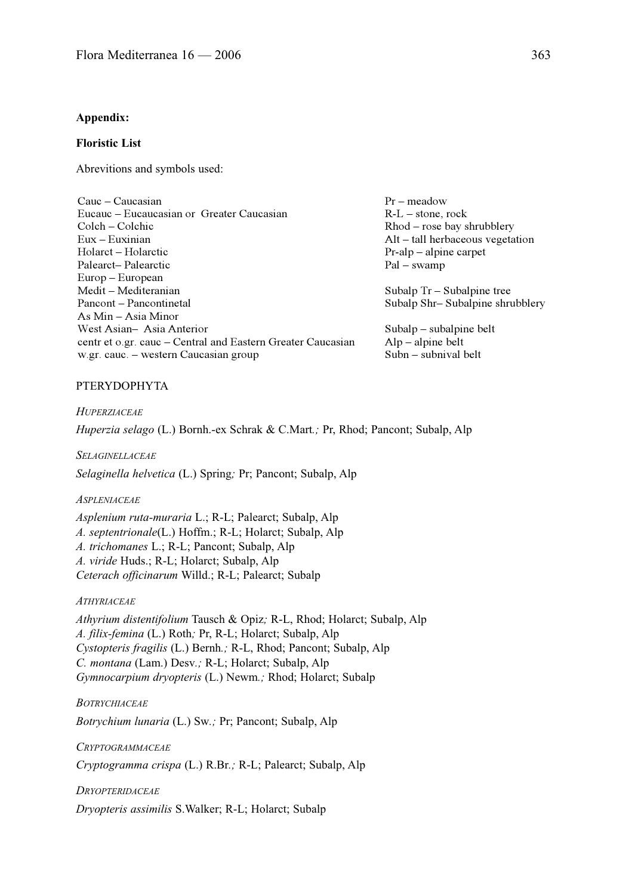#### **Appendix:**

## **Floristic List**

Abrevitions and symbols used:

| Cauc – Caucasian                                            |  |  |  |
|-------------------------------------------------------------|--|--|--|
| Eucauc – Eucaucasian or Greater Caucasian                   |  |  |  |
| Colch – Colchic                                             |  |  |  |
| $Eux - Euxinian$                                            |  |  |  |
| Holarct – Holarctic                                         |  |  |  |
| Palearct-Palearctic                                         |  |  |  |
| Europ – European                                            |  |  |  |
| Medit – Mediteranian                                        |  |  |  |
| Pancont – Pancontinetal                                     |  |  |  |
| As Min – Asia Minor                                         |  |  |  |
| West Asian- Asia Anterior                                   |  |  |  |
| centr et o.gr. cauc – Central and Eastern Greater Caucasian |  |  |  |
| w.gr. cauc. - western Caucasian group                       |  |  |  |

Pr – meadow R-L – stone, rock Rhod – rose bay shrubblery Alt – tall herbaceous vegetation Pr-alp – alpine carpet Pal – swamp

Subalp Tr – Subalpine tree Subalp Shr– Subalpine shrubblery

Subalp – subalpine belt Alp – alpine belt Subn – subnival belt

### PTERYDOPHYTA

*HUPERZIACEAE Huperzia selago* (L.) Bornh.-ex Schrak & C.Mart*.;* Pr, Rhod; Pancont; Subalp, Alp

*SELAGINELLACEAE*

*Selaginella helvetica* (L.) Spring*;* Pr; Pancont; Subalp, Alp

### *ASPLENIACEAE*

*Asplenium ruta-muraria* L.; R-L; Palearct; Subalp, Alp *A. septentrionale*(L.) Hoffm.; R-L; Holarct; Subalp, Alp *A. trichomanes* L.; R-L; Pancont; Subalp, Alp *A. viride* Huds.; R-L; Holarct; Subalp, Alp *Ceterach officinarum* Willd.; R-L; Palearct; Subalp

### *ATHYRIACEAE*

*Athyrium distentifolium* Tausch & Opiz*;* R-L, Rhod; Holarct; Subalp, Alp *A. filix-femina* (L.) Roth*;* Pr, R-L; Holarct; Subalp, Alp *Cystopteris fragilis* (L.) Bernh*.;* R-L, Rhod; Pancont; Subalp, Alp *C. montana* (Lam.) Desv*.;* R-L; Holarct; Subalp, Alp *Gymnocarpium dryopteris* (L.) Newm*.;* Rhod; Holarct; Subalp

#### *BOTRYCHIACEAE*

*Botrychium lunaria* (L.) Sw*.;* Pr; Pancont; Subalp, Alp

*CRYPTOGRAMMACEAE*

*Cryptogramma crispa* (L.) R.Br*.;* R-L; Palearct; Subalp, Alp

#### *DRYOPTERIDACEAE*

*Dryopteris assimilis* S.Walker; R-L; Holarct; Subalp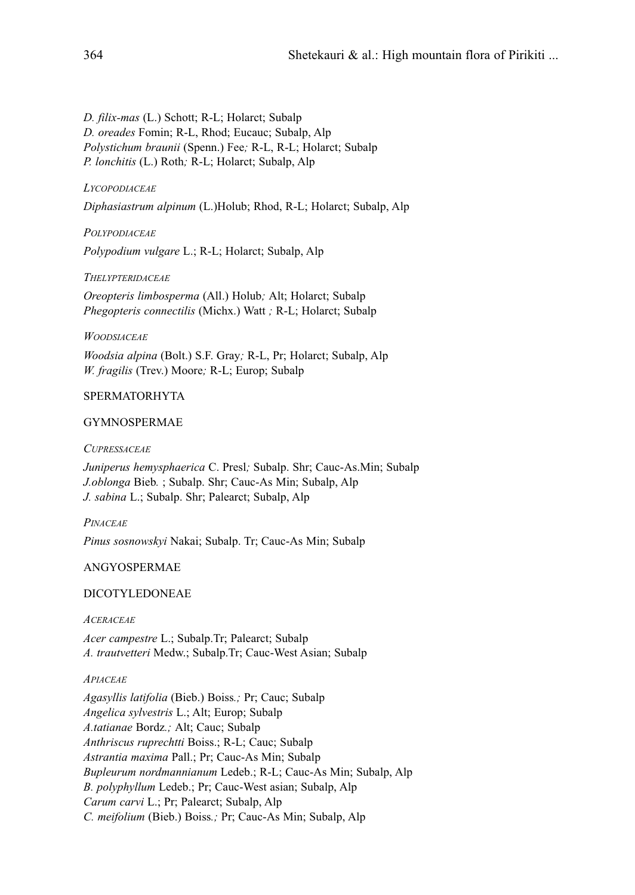*D. filix-mas* (L.) Schott; R-L; Holarct; Subalp *D. oreades* Fomin; R-L, Rhod; Eucauc; Subalp, Alp *Polystichum braunii* (Spenn.) Fee*;* R-L, R-L; Holarct; Subalp *P. lonchitis* (L.) Roth*;* R-L; Holarct; Subalp, Alp

## *LYCOPODIACEAE*

*Diphasiastrum alpinum* (L.)Holub; Rhod, R-L; Holarct; Subalp, Alp

*POLYPODIACEAE*

*Polypodium vulgare* L.; R-L; Holarct; Subalp, Alp

*THELYPTERIDACEAE*

*Oreopteris limbosperma* (All.) Holub*;* Alt; Holarct; Subalp *Phegopteris connectilis* (Michx.) Watt *;* R-L; Holarct; Subalp

## *WOODSIACEAE*

*Woodsia alpina* (Bolt.) S.F. Gray*;* R-L, Pr; Holarct; Subalp, Alp *W. fragilis* (Trev.) Moore*;* R-L; Europ; Subalp

## SPERMATORHYTA

## GYMNOSPERMAE

*CUPRESSACEAE*

*Juniperus hemysphaerica* C. Presl*;* Subalp. Shr; Cauc-As.Min; Subalp *J.oblonga* Bieb*.* ; Subalp. Shr; Cauc-As Min; Subalp, Alp *J. sabina* L.; Subalp. Shr; Palearct; Subalp, Alp

## *PINACEAE*

*Pinus sosnowskyi* Nakai; Subalp. Tr; Cauc-As Min; Subalp

## ANGYOSPERMAE

## DICOTYLEDONEAE

## *ACERACEAE*

*Acer campestre* L.; Subalp.Tr; Palearct; Subalp *A. trautvetteri* Medw.; Subalp.Tr; Cauc-West Asian; Subalp

## *APIACEAE*

*Agasyllis latifolia* (Bieb.) Boiss*.;* Pr; Cauc; Subalp *Angelica sylvestris* L.; Alt; Europ; Subalp *A.tatianae* Bordz*.;* Alt; Cauc; Subalp *Anthriscus ruprechtti* Boiss.; R-L; Cauc; Subalp *Astrantia maxima* Pall.; Pr; Cauc-As Min; Subalp *Bupleurum nordmannianum* Ledeb.; R-L; Cauc-As Min; Subalp, Alp *B. polyphyllum* Ledeb.; Pr; Cauc-West asian; Subalp, Alp *Carum carvi* L.; Pr; Palearct; Subalp, Alp *C. meifolium* (Bieb.) Boiss*.;* Pr; Cauc-As Min; Subalp, Alp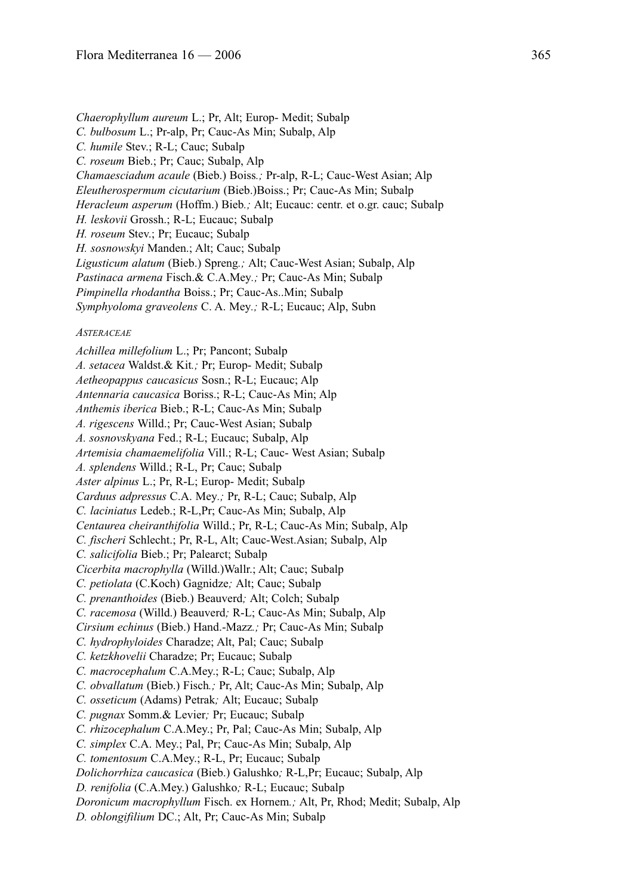*Chaerophyllum aureum* L.; Pr, Alt; Europ- Medit; Subalp *C. bulbosum* L.; Pr-alp, Pr; Cauc-As Min; Subalp, Alp *C. humile* Stev.; R-L; Cauc; Subalp *C. roseum* Bieb.; Pr; Cauc; Subalp, Alp *Chamaesciadum acaule* (Bieb.) Boiss*.;* Pr-alp, R-L; Cauc-West Asian; Alp *Eleutherospermum cicutarium* (Bieb.)Boiss.; Pr; Cauc-As Min; Subalp *Heracleum asperum* (Hoffm.) Bieb*.;* Alt; Eucauc: centr. et o.gr. cauc; Subalp *H. leskovii* Grossh.; R-L; Eucauc; Subalp *H. roseum* Stev.; Pr; Eucauc; Subalp *H. sosnowskyi* Manden.; Alt; Cauc; Subalp *Ligusticum alatum* (Bieb.) Spreng*.;* Alt; Cauc-West Asian; Subalp, Alp *Pastinaca armena* Fisch.& C.A.Mey*.;* Pr; Cauc-As Min; Subalp *Pimpinella rhodantha* Boiss.; Pr; Cauc-As..Min; Subalp *Symphyoloma graveolens* C. A. Mey*.;* R-L; Eucauc; Alp, Subn *ASTERACEAE Achillea millefolium* L.; Pr; Pancont; Subalp *A. setacea* Waldst.& Kit*.;* Pr; Europ- Medit; Subalp *Aetheopappus caucasicus* Sosn.; R-L; Eucauc; Alp *Antennaria caucasica* Boriss.; R-L; Cauc-As Min; Alp *Anthemis iberica* Bieb.; R-L; Cauc-As Min; Subalp *A. rigescens* Willd.; Pr; Cauc-West Asian; Subalp *A. sosnovskyana* Fed.; R-L; Eucauc; Subalp, Alp *Artemisia chamaemelifolia* Vill.; R-L; Cauc- West Asian; Subalp *A. splendens* Willd.; R-L, Pr; Cauc; Subalp *Aster alpinus* L.; Pr, R-L; Europ- Medit; Subalp *Carduus adpressus* C.A. Mey*.;* Pr, R-L; Cauc; Subalp, Alp *C. laciniatus* Ledeb.; R-L,Pr; Cauc-As Min; Subalp, Alp *Centaurea cheiranthifolia* Willd.; Pr, R-L; Cauc-As Min; Subalp, Alp *C. fischeri* Schlecht.; Pr, R-L, Alt; Cauc-West.Asian; Subalp, Alp *C. salicifolia* Bieb.; Pr; Palearct; Subalp *Cicerbita macrophylla* (Willd.)Wallr.; Alt; Cauc; Subalp *C. petiolata* (C.Koch) Gagnidze*;* Alt; Cauc; Subalp *C. prenanthoides* (Bieb.) Beauverd*;* Alt; Colch; Subalp *C. racemosa* (Willd.) Beauverd*;* R-L; Cauc-As Min; Subalp, Alp *Cirsium echinus* (Bieb.) Hand.-Mazz*.;* Pr; Cauc-As Min; Subalp *C. hydrophyloides* Charadze; Alt, Pal; Cauc; Subalp *C. ketzkhovelii* Charadze; Pr; Eucauc; Subalp *C. macrocephalum* C.A.Mey.; R-L; Cauc; Subalp, Alp *C. obvallatum* (Bieb.) Fisch*.;* Pr, Alt; Cauc-As Min; Subalp, Alp *C. osseticum* (Adams) Petrak*;* Alt; Eucauc; Subalp *C. pugnax* Somm.& Levier*;* Pr; Eucauc; Subalp *C. rhizocephalum* C.A.Mey.; Pr, Pal; Cauc-As Min; Subalp, Alp *C. simplex* C.A. Mey.; Pal, Pr; Cauc-As Min; Subalp, Alp *C. tomentosum* C.A.Mey.; R-L, Pr; Eucauc; Subalp *Dolichorrhiza caucasica* (Bieb.) Galushko*;* R-L,Pr; Eucauc; Subalp, Alp *D. renifolia* (C.A.Mey.) Galushko*;* R-L; Eucauc; Subalp *Doronicum macrophyllum* Fisch. ex Hornem*.;* Alt, Pr, Rhod; Medit; Subalp, Alp *D. oblongifilium* DC.; Alt, Pr; Cauc-As Min; Subalp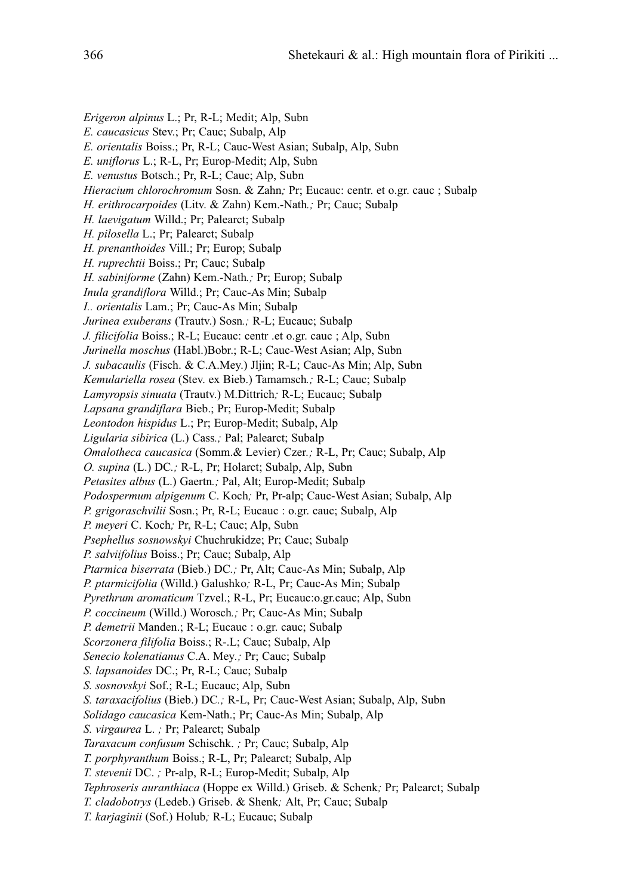*Erigeron alpinus* L.; Pr, R-L; Medit; Alp, Subn *E. caucasicus* Stev.; Pr; Cauc; Subalp, Alp *E. orientalis* Boiss.; Pr, R-L; Cauc-West Asian; Subalp, Alp, Subn *E. uniflorus* L.; R-L, Pr; Europ-Medit; Alp, Subn *E. venustus* Botsch.; Pr, R-L; Cauc; Alp, Subn *Hieracium chlorochromum* Sosn. & Zahn*;* Pr; Eucauc: centr. et o.gr. cauc ; Subalp *H. erithrocarpoides* (Litv. & Zahn) Kem.-Nath*.;* Pr; Cauc; Subalp *H. laevigatum* Willd.; Pr; Palearct; Subalp *H. pilosella* L.; Pr; Palearct; Subalp *H. prenanthoides* Vill.; Pr; Europ; Subalp *H. ruprechtii* Boiss.; Pr; Cauc; Subalp *H. sabiniforme* (Zahn) Kem.-Nath*.;* Pr; Europ; Subalp *Inula grandiflora* Willd.; Pr; Cauc-As Min; Subalp *I.. orientalis* Lam.; Pr; Cauc-As Min; Subalp *Jurinea exuberans* (Trautv.) Sosn*.;* R-L; Eucauc; Subalp *J. filicifolia* Boiss.; R-L; Eucauc: centr .et o.gr. cauc ; Alp, Subn *Jurinella moschus* (Habl.)Bobr.; R-L; Cauc-West Asian; Alp, Subn *J. subacaulis* (Fisch. & C.A.Mey.) Jljin; R-L; Cauc-As Min; Alp, Subn *Kemulariella rosea* (Stev. ex Bieb.) Tamamsch*.;* R-L; Cauc; Subalp *Lamyropsis sinuata* (Trautv.) M.Dittrich*;* R-L; Eucauc; Subalp *Lapsana grandiflara* Bieb.; Pr; Europ-Medit; Subalp *Leontodon hispidus* L.; Pr; Europ-Medit; Subalp, Alp *Ligularia sibirica* (L.) Cass*.;* Pal; Palearct; Subalp *Omalotheca caucasica* (Somm.& Levier) Czer*.;* R-L, Pr; Cauc; Subalp, Alp *O. supina* (L.) DC*.;* R-L, Pr; Holarct; Subalp, Alp, Subn *Petasites albus* (L.) Gaertn*.;* Pal, Alt; Europ-Medit; Subalp *Podospermum alpigenum* C. Koch*;* Pr, Pr-alp; Cauc-West Asian; Subalp, Alp *P. grigoraschvilii* Sosn.; Pr, R-L; Eucauc : o.gr. cauc; Subalp, Alp *P. meyeri* C. Koch*;* Pr, R-L; Cauc; Alp, Subn *Psephellus sosnowskyi* Chuchrukidze; Pr; Cauc; Subalp *P. salviifolius* Boiss.; Pr; Cauc; Subalp, Alp *Ptarmica biserrata* (Bieb.) DC*.;* Pr, Alt; Cauc-As Min; Subalp, Alp *P. ptarmicifolia* (Willd.) Galushko*;* R-L, Pr; Cauc-As Min; Subalp *Pyrethrum aromaticum* Tzvel.; R-L, Pr; Eucauc:o.gr.cauc; Alp, Subn *P. coccineum* (Willd.) Worosch*.;* Pr; Cauc-As Min; Subalp *P. demetrii* Manden.; R-L; Eucauc : o.gr. cauc; Subalp *Scorzonera filifolia* Boiss.; R-.L; Cauc; Subalp, Alp *Senecio kolenatianus* C.A. Mey*.;* Pr; Cauc; Subalp *S. lapsanoides* DC.; Pr, R-L; Cauc; Subalp *S. sosnovskyi* Sof.; R-L; Eucauc; Alp, Subn *S. taraxacifolius* (Bieb.) DC*.;* R-L, Pr; Cauc-West Asian; Subalp, Alp, Subn *Solidago caucasica* Kem-Nath.; Pr; Cauc-As Min; Subalp, Alp *S. virgaurea* L. *;* Pr; Palearct; Subalp *Taraxacum confusum* Schischk. *;* Pr; Cauc; Subalp, Alp *T. porphyranthum* Boiss.; R-L, Pr; Palearct; Subalp, Alp *T. stevenii* DC. *;* Pr-alp, R-L; Europ-Medit; Subalp, Alp *Tephroseris auranthiaca* (Hoppe ex Willd.) Griseb. & Schenk*;* Pr; Palearct; Subalp *T. cladobotrys* (Ledeb.) Griseb. & Shenk*;* Alt, Pr; Cauc; Subalp *T. karjaginii* (Sof.) Holub*;* R-L; Eucauc; Subalp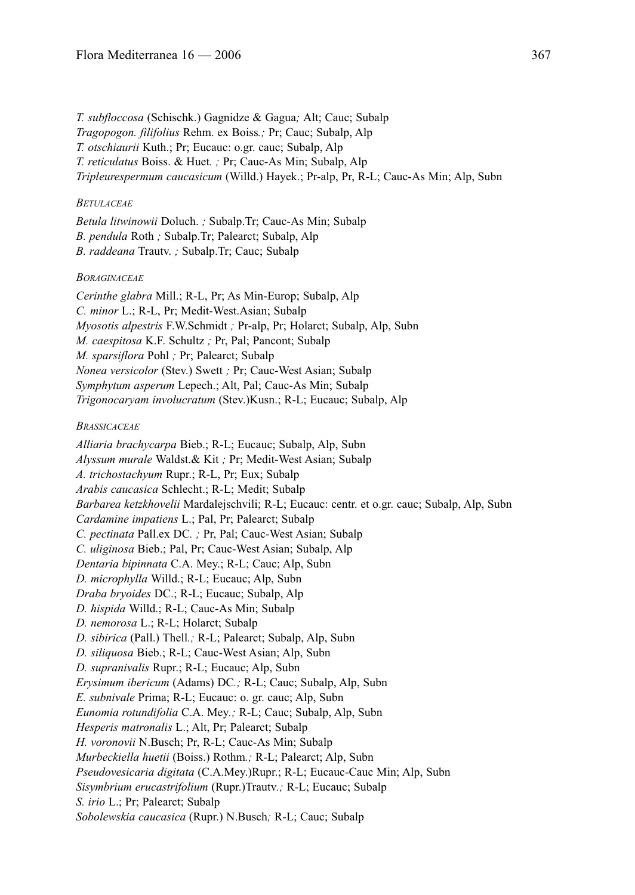*T. subfloccosa* (Schischk.) Gagnidze & Gagua*;* Alt; Cauc; Subalp *Tragopogon. filifolius* Rehm. ex Boiss*.;* Pr; Cauc; Subalp, Alp *T. otschiaurii* Kuth.; Pr; Eucauc: o.gr. cauc; Subalp, Alp *T. reticulatus* Boiss. & Huet*. ;* Pr; Cauc-As Min; Subalp, Alp *Tripleurespermum caucasicum* (Willd.) Hayek.; Pr-alp, Pr, R-L; Cauc-As Min; Alp, Subn

## *BETULACEAE*

*Betula litwinowii* Doluch. *;* Subalp.Tr; Cauc-As Min; Subalp *B. pendula* Roth *;* Subalp.Tr; Palearct; Subalp, Alp *B. raddeana* Trautv. *;* Subalp.Tr; Cauc; Subalp

## *BORAGINACEAE*

*Cerinthe glabra* Mill.; R-L, Pr; As Min-Europ; Subalp, Alp *C. minor* L.; R-L, Pr; Medit-West.Asian; Subalp *Myosotis alpestris* F.W.Schmidt *;* Pr-alp, Pr; Holarct; Subalp, Alp, Subn *M. caespitosa* K.F. Schultz *;* Pr, Pal; Pancont; Subalp *M. sparsiflora* Pohl *;* Pr; Palearct; Subalp *Nonea versicolor* (Stev.) Swett *;* Pr; Cauc-West Asian; Subalp *Symphytum asperum* Lepech.; Alt, Pal; Cauc-As Min; Subalp *Trigonocaryam involucratum* (Stev.)Kusn.; R-L; Eucauc; Subalp, Alp

### *BRASSICACEAE*

*Alliaria brachycarpa* Bieb.; R-L; Eucauc; Subalp, Alp, Subn *Alyssum murale* Waldst.& Kit *;* Pr; Medit-West Asian; Subalp *A. trichostachyum* Rupr.; R-L, Pr; Eux; Subalp *Arabis caucasica* Schlecht.; R-L; Medit; Subalp *Barbarea ketzkhovelii* Mardalejschvili; R-L; Eucauc: centr. et o.gr. cauc; Subalp, Alp, Subn *Cardamine impatiens* L.; Pal, Pr; Palearct; Subalp *C. pectinata* Pall.ex DC*. ;* Pr, Pal; Cauc-West Asian; Subalp *C. uliginosa* Bieb.; Pal, Pr; Cauc-West Asian; Subalp, Alp *Dentaria bipinnata* C.A. Mey.; R-L; Cauc; Alp, Subn *D. microphylla* Willd.; R-L; Eucauc; Alp, Subn *Draba bryoides* DC.; R-L; Eucauc; Subalp, Alp *D. hispida* Willd.; R-L; Cauc-As Min; Subalp *D. nemorosa* L.; R-L; Holarct; Subalp *D. sibirica* (Pall.) Thell*.;* R-L; Palearct; Subalp, Alp, Subn *D. siliquosa* Bieb.; R-L; Cauc-West Asian; Alp, Subn *D. supranivalis* Rupr.; R-L; Eucauc; Alp, Subn *Erysimum ibericum* (Adams) DC*.;* R-L; Cauc; Subalp, Alp, Subn *E. subnivale* Prima; R-L; Eucauc: o. gr. cauc; Alp, Subn *Eunomia rotundifolia* C.A. Mey*.;* R-L; Cauc; Subalp, Alp, Subn *Hesperis matronalis* L.; Alt, Pr; Palearct; Subalp *H. voronovii* N.Busch; Pr, R-L; Cauc-As Min; Subalp *Murbeckiella huetii* (Boiss.) Rothm*.;* R-L; Palearct; Alp, Subn *Pseudovesicaria digitata* (C.A.Mey.)Rupr.; R-L; Eucauc-Cauc Min; Alp, Subn *Sisymbrium erucastrifolium* (Rupr.)Trautv*.;* R-L; Eucauc; Subalp *S. irio* L.; Pr; Palearct; Subalp *Sobolewskia caucasica* (Rupr.) N.Busch*;* R-L; Cauc; Subalp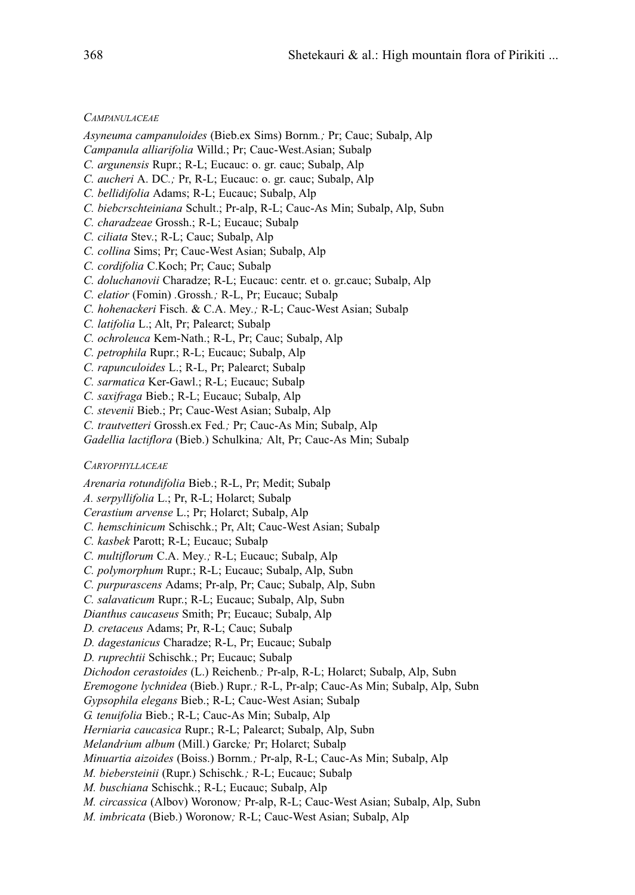*CAMPANULACEAE*

- *Asyneuma campanuloides* (Bieb.ex Sims) Bornm*.;* Pr; Cauc; Subalp, Alp
- *Campanula alliarifolia* Willd.; Pr; Cauc-West.Asian; Subalp
- *C. argunensis* Rupr.; R-L; Eucauc: o. gr. cauc; Subalp, Alp
- *C. aucheri* A. DC*.;* Pr, R-L; Eucauc: o. gr. cauc; Subalp, Alp
- *C. bellidifolia* Adams; R-L; Eucauc; Subalp, Alp
- *C. biebcrschteiniana* Schult.; Pr-alp, R-L; Cauc-As Min; Subalp, Alp, Subn
- *C. charadzeae* Grossh.; R-L; Eucauc; Subalp
- *C. ciliata* Stev.; R-L; Cauc; Subalp, Alp
- *C. collina* Sims; Pr; Cauc-West Asian; Subalp, Alp
- *C. cordifolia* C.Koch; Pr; Cauc; Subalp
- *C. doluchanovii* Charadze; R-L; Eucauc: centr. et o. gr.cauc; Subalp, Alp
- *C. elatior* (Fomin) *.*Grossh*.;* R-L, Pr; Eucauc; Subalp
- *C. hohenackeri* Fisch. & C.A. Mey*.;* R-L; Cauc-West Asian; Subalp
- *C. latifolia* L.; Alt, Pr; Palearct; Subalp
- *C. ochroleuca* Kem-Nath.; R-L, Pr; Cauc; Subalp, Alp
- *C. petrophila* Rupr.; R-L; Eucauc; Subalp, Alp
- *C. rapunculoides* L.; R-L, Pr; Palearct; Subalp
- *C. sarmatica* Ker-Gawl.; R-L; Eucauc; Subalp
- *C. saxifraga* Bieb.; R-L; Eucauc; Subalp, Alp
- *C. stevenii* Bieb.; Pr; Cauc-West Asian; Subalp, Alp
- *C. trautvetteri* Grossh.ex Fed*.;* Pr; Cauc-As Min; Subalp, Alp
- *Gadellia lactiflora* (Bieb.) Schulkina*;* Alt, Pr; Cauc-As Min; Subalp

#### *CARYOPHYLLACEAE*

*Arenaria rotundifolia* Bieb.; R-L, Pr; Medit; Subalp

- *A. serpyllifolia* L.; Pr, R-L; Holarct; Subalp
- *Cerastium arvense* L.; Pr; Holarct; Subalp, Alp
- *C. hemschinicum* Schischk.; Pr, Alt; Cauc-West Asian; Subalp
- *C. kasbek* Parott; R-L; Eucauc; Subalp
- *C. multiflorum* C.A. Mey*.;* R-L; Eucauc; Subalp, Alp
- *C. polymorphum* Rupr.; R-L; Eucauc; Subalp, Alp, Subn
- *C. purpurascens* Adams; Pr-alp, Pr; Cauc; Subalp, Alp, Subn
- *C. salavaticum* Rupr.; R-L; Eucauc; Subalp, Alp, Subn
- *Dianthus caucaseus* Smith; Pr; Eucauc; Subalp, Alp
- *D. cretaceus* Adams; Pr, R-L; Cauc; Subalp
- *D. dagestanicus* Charadze; R-L, Pr; Eucauc; Subalp
- *D. ruprechtii* Schischk.; Pr; Eucauc; Subalp
- *Dichodon cerastoides* (L.) Reichenb*.;* Pr-alp, R-L; Holarct; Subalp, Alp, Subn
- *Eremogone lychnidea* (Bieb.) Rupr*.;* R-L, Pr-alp; Cauc-As Min; Subalp, Alp, Subn
- *Gypsophila elegans* Bieb.; R-L; Cauc-West Asian; Subalp
- *G. tenuifolia* Bieb.; R-L; Cauc-As Min; Subalp, Alp
- *Herniaria caucasica* Rupr.; R-L; Palearct; Subalp, Alp, Subn
- *Melandrium album* (Mill.) Garcke*;* Pr; Holarct; Subalp
- *Minuartia aizoides* (Boiss.) Bornm*.;* Pr-alp, R-L; Cauc-As Min; Subalp, Alp
- *M. biebersteinii* (Rupr.) Schischk*.;* R-L; Eucauc; Subalp
- *M. buschiana* Schischk.; R-L; Eucauc; Subalp, Alp
- *M. circassica* (Albov) Woronow*;* Pr-alp, R-L; Cauc-West Asian; Subalp, Alp, Subn
- *M. imbricata* (Bieb.) Woronow*;* R-L; Cauc-West Asian; Subalp, Alp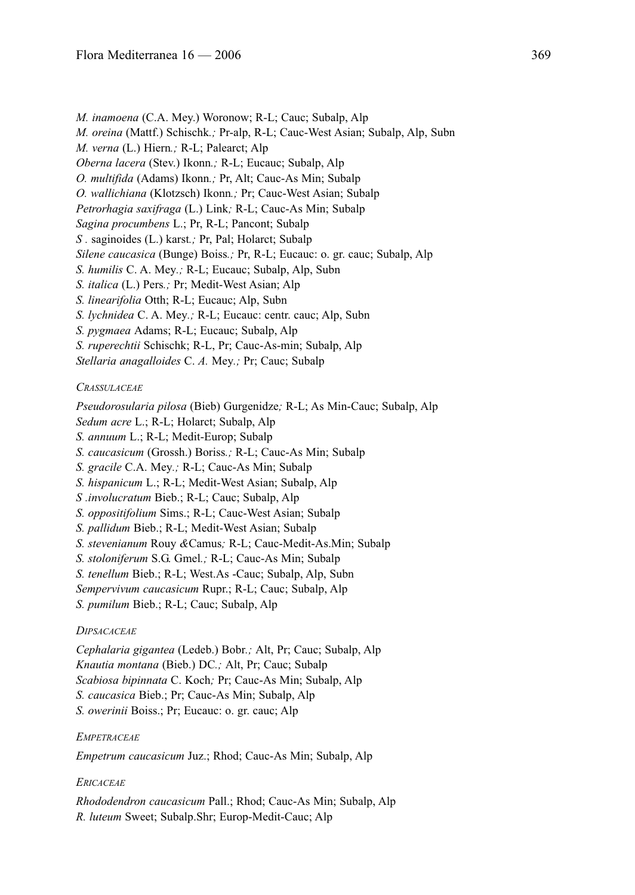*M. inamoena* (C.A. Mey.) Woronow; R-L; Cauc; Subalp, Alp *M. oreina* (Mattf.) Schischk*.;* Pr-alp, R-L; Cauc-West Asian; Subalp, Alp, Subn *M. verna* (L.) Hiern*.;* R-L; Palearct; Alp *Oberna lacera* (Stev.) Ikonn*.;* R-L; Eucauc; Subalp, Alp *O. multifida* (Adams) Ikonn*.;* Pr, Alt; Cauc-As Min; Subalp *O. wallichiana* (Klotzsch) Ikonn*.;* Pr; Cauc-West Asian; Subalp *Petrorhagia saxifraga* (L.) Link*;* R-L; Cauc-As Min; Subalp *Sagina procumbens* L.; Pr, R-L; Pancont; Subalp *S .* saginoides (L.) karst*.;* Pr, Pal; Holarct; Subalp *Silene caucasica* (Bunge) Boiss*.;* Pr, R-L; Eucauc: o. gr. cauc; Subalp, Alp *S. humilis* C. A. Mey*.;* R-L; Eucauc; Subalp, Alp, Subn *S. italica* (L.) Pers*.;* Pr; Medit-West Asian; Alp *S. linearifolia* Otth; R-L; Eucauc; Alp, Subn *S. lychnidea* C. A. Mey*.;* R-L; Eucauc: centr. cauc; Alp, Subn *S. pygmaea* Adams; R-L; Eucauc; Subalp, Alp *S. ruperechtii* Schischk; R-L, Pr; Cauc-As-min; Subalp, Alp *Stellaria anagalloides* C. *A.* Mey*.;* Pr; Cauc; Subalp

## *CRASSULACEAE*

*Pseudorosularia pilosa* (Bieb) Gurgenidze*;* R-L; As Min-Cauc; Subalp, Alp *Sedum acre* L.; R-L; Holarct; Subalp, Alp

- *S. annuum* L.; R-L; Medit-Europ; Subalp
- *S. caucasicum* (Grossh.) Boriss*.;* R-L; Cauc-As Min; Subalp
- *S. gracile* C.A. Mey*.;* R-L; Cauc-As Min; Subalp
- *S. hispanicum* L.; R-L; Medit-West Asian; Subalp, Alp
- *S .involucratum* Bieb.; R-L; Cauc; Subalp, Alp
- *S. oppositifolium* Sims.; R-L; Cauc-West Asian; Subalp
- *S. pallidum* Bieb.; R-L; Medit-West Asian; Subalp
- *S. stevenianum* Rouy *&*Camus*;* R-L; Cauc-Medit-As.Min; Subalp
- *S. stoloniferum* S.G. Gmel*.;* R-L; Cauc-As Min; Subalp
- *S. tenellum* Bieb.; R-L; West.As -Cauc; Subalp, Alp, Subn
- *Sempervivum caucasicum* Rupr.; R-L; Cauc; Subalp, Alp
- *S. pumilum* Bieb.; R-L; Cauc; Subalp, Alp

## *DIPSACACEAE*

*Cephalaria gigantea* (Ledeb.) Bobr*.;* Alt, Pr; Cauc; Subalp, Alp *Knautia montana* (Bieb.) DC*.;* Alt, Pr; Cauc; Subalp *Scabiosa bipinnata* C. Koch*;* Pr; Cauc-As Min; Subalp, Alp *S. caucasica* Bieb.; Pr; Cauc-As Min; Subalp, Alp *S. owerinii* Boiss.; Pr; Eucauc: o. gr. cauc; Alp

#### *EMPETRACEAE*

*Empetrum caucasicum* Juz.; Rhod; Cauc-As Min; Subalp, Alp

## *ERICACEAE*

*Rhododendron caucasicum* Pall.; Rhod; Cauc-As Min; Subalp, Alp *R. luteum* Sweet; Subalp.Shr; Europ-Medit-Cauc; Alp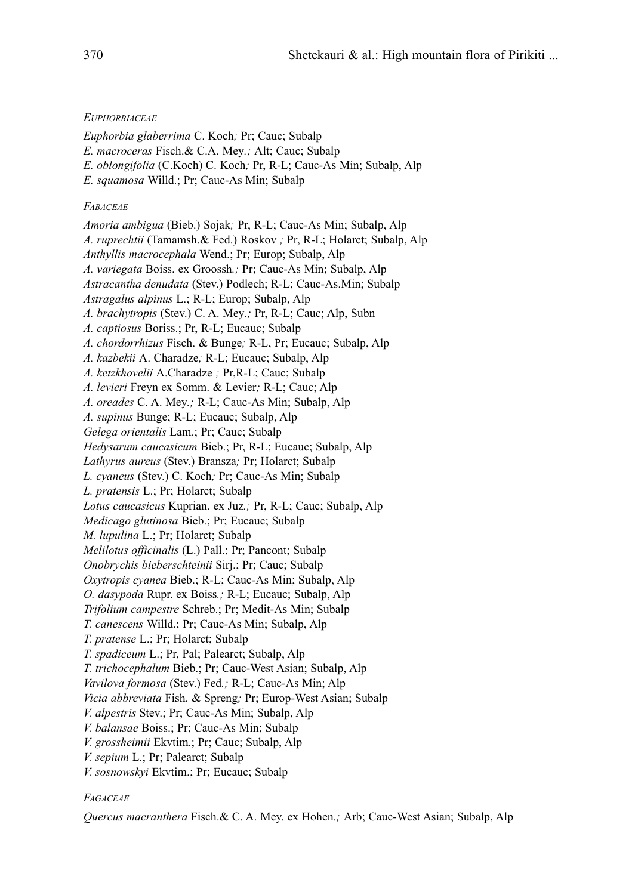## *EUPHORBIACEAE*

- *Euphorbia glaberrima* C. Koch*;* Pr; Cauc; Subalp
- *E. macroceras* Fisch.& C.A. Mey*.;* Alt; Cauc; Subalp
- *E. oblongifolia* (C.Koch) C. Koch*;* Pr, R-L; Cauc-As Min; Subalp, Alp
- *E. squamosa* Willd.; Pr; Cauc-As Min; Subalp

## *FABACEAE*

*Amoria ambigua* (Bieb.) Sojak*;* Pr, R-L; Cauc-As Min; Subalp, Alp *A. ruprechtii* (Tamamsh.& Fed.) Roskov *;* Pr, R-L; Holarct; Subalp, Alp *Anthyllis macrocephala* Wend.; Pr; Europ; Subalp, Alp *A. variegata* Boiss. ex Groossh*.;* Pr; Cauc-As Min; Subalp, Alp *Astracantha denudata* (Stev.) Podlech; R-L; Cauc-As.Min; Subalp *Astragalus alpinus* L.; R-L; Europ; Subalp, Alp *A. brachytropis* (Stev.) C. A. Mey*.;* Pr, R-L; Cauc; Alp, Subn *A. captiosus* Boriss.; Pr, R-L; Eucauc; Subalp *A. chordorrhizus* Fisch. & Bunge*;* R-L, Pr; Eucauc; Subalp, Alp *A. kazbekii* A. Charadze*;* R-L; Eucauc; Subalp, Alp *A. ketzkhovelii* A.Charadze *;* Pr,R-L; Cauc; Subalp *A. levieri* Freyn ex Somm. & Levier*;* R-L; Cauc; Alp *A. oreades* C. A. Mey*.;* R-L; Cauc-As Min; Subalp, Alp *A. supinus* Bunge; R-L; Eucauc; Subalp, Alp *Gelega orientalis* Lam.; Pr; Cauc; Subalp *Hedysarum caucasicum* Bieb.; Pr, R-L; Eucauc; Subalp, Alp *Lathyrus aureus* (Stev.) Bransza*;* Pr; Holarct; Subalp *L. cyaneus* (Stev.) C. Koch*;* Pr; Cauc-As Min; Subalp *L. pratensis* L.; Pr; Holarct; Subalp *Lotus caucasicus* Kuprian. ex Juz*.;* Pr, R-L; Cauc; Subalp, Alp *Medicago glutinosa* Bieb.; Pr; Eucauc; Subalp *M. lupulina* L.; Pr; Holarct; Subalp *Melilotus officinalis* (L.) Pall.; Pr; Pancont; Subalp *Onobrychis bieberschteinii* Sirj.; Pr; Cauc; Subalp *Oxytropis cyanea* Bieb.; R-L; Cauc-As Min; Subalp, Alp *O. dasypoda* Rupr. ex Boiss*.;* R-L; Eucauc; Subalp, Alp *Trifolium campestre* Schreb.; Pr; Medit-As Min; Subalp *T. canescens* Willd.; Pr; Cauc-As Min; Subalp, Alp *T. pratense* L.; Pr; Holarct; Subalp *T. spadiceum* L.; Pr, Pal; Palearct; Subalp, Alp *T. trichocephalum* Bieb.; Pr; Cauc-West Asian; Subalp, Alp *Vavilova formosa* (Stev.) Fed*.;* R-L; Cauc-As Min; Alp *Vicia abbreviata* Fish. & Spreng*;* Pr; Europ-West Asian; Subalp *V. alpestris* Stev.; Pr; Cauc-As Min; Subalp, Alp *V. balansae* Boiss.; Pr; Cauc-As Min; Subalp *V. grossheimii* Ekvtim.; Pr; Cauc; Subalp, Alp *V. sepium* L.; Pr; Palearct; Subalp *V. sosnowskyi* Ekvtim.; Pr; Eucauc; Subalp

## *FAGACEAE*

*Quercus macranthera* Fisch.& C. A. Mey. ex Hohen*.;* Arb; Cauc-West Asian; Subalp, Alp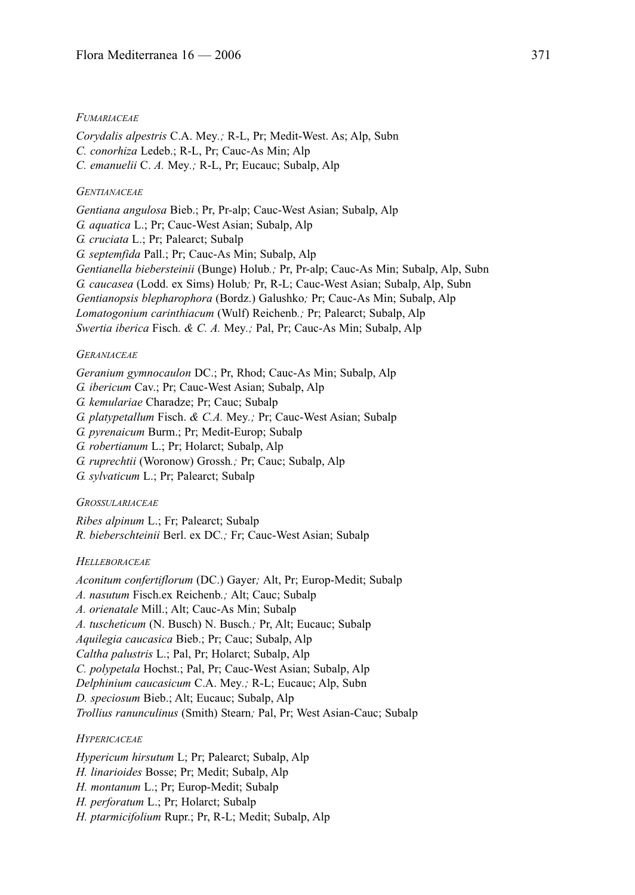#### *FUMARIACEAE*

*Corydalis alpestris* C.A. Mey*.;* R-L, Pr; Medit-West. As; Alp, Subn *C. conorhiza* Ledeb.; R-L, Pr; Cauc-As Min; Alp *C. emanuelii* C. *A.* Mey*.;* R-L, Pr; Eucauc; Subalp, Alp

## *GENTIANACEAE*

*Gentiana angulosa* Bieb.; Pr, Pr-alp; Cauc-West Asian; Subalp, Alp *G. aquatica* L.; Pr; Cauc-West Asian; Subalp, Alp *G. cruciata* L.; Pr; Palearct; Subalp *G. septemfida* Pall.; Pr; Cauc-As Min; Subalp, Alp *Gentianella biebersteinii* (Bunge) Holub*.;* Pr, Pr-alp; Cauc-As Min; Subalp, Alp, Subn *G. caucasea* (Lodd. ex Sims) Holub*;* Pr, R-L; Cauc-West Asian; Subalp, Alp, Subn *Gentianopsis blepharophora* (Bordz.) Galushko*;* Pr; Cauc-As Min; Subalp, Alp *Lomatogonium carinthiacum* (Wulf) Reichenb*.;* Pr; Palearct; Subalp, Alp *Swertia iberica* Fisch. *& C. A.* Mey*.;* Pal, Pr; Cauc-As Min; Subalp, Alp

#### *GERANIACEAE*

*Geranium gymnocaulon* DC.; Pr, Rhod; Cauc-As Min; Subalp, Alp

- *G. ibericum* Cav.; Pr; Cauc-West Asian; Subalp, Alp
- *G. kemulariae* Charadze; Pr; Cauc; Subalp

*G. platypetallum* Fisch. *& C.A.* Mey*.;* Pr; Cauc-West Asian; Subalp

*G. pyrenaicum* Burm.; Pr; Medit-Europ; Subalp

*G. robertianum* L.; Pr; Holarct; Subalp, Alp

- *G. ruprechtii* (Woronow) Grossh*.;* Pr; Cauc; Subalp, Alp
- *G. sylvaticum* L.; Pr; Palearct; Subalp

### *GROSSULARIACEAE*

*Ribes alpinum* L.; Fr; Palearct; Subalp *R. bieberschteinii* Berl. ex DC*.;* Fr; Cauc-West Asian; Subalp

#### *HELLEBORACEAE*

*Aconitum confertiflorum* (DC.) Gayer*;* Alt, Pr; Europ-Medit; Subalp *A. nasutum* Fisch.ex Reichenb*.;* Alt; Cauc; Subalp *A. orienatale* Mill.; Alt; Cauc-As Min; Subalp *A. tuscheticum* (N. Busch) N. Busch*.;* Pr, Alt; Eucauc; Subalp *Aquilegia caucasica* Bieb.; Pr; Cauc; Subalp, Alp *Caltha palustris* L.; Pal, Pr; Holarct; Subalp, Alp *C. polypetala* Hochst.; Pal, Pr; Cauc-West Asian; Subalp, Alp *Delphinium caucasicum* C.A. Mey*.;* R-L; Eucauc; Alp, Subn *D. speciosum* Bieb.; Alt; Eucauc; Subalp, Alp *Trollius ranunculinus* (Smith) Stearn*;* Pal, Pr; West Asian-Cauc; Subalp

#### *HYPERICACEAE*

*Hypericum hirsutum* L; Pr; Palearct; Subalp, Alp *H. linarioides* Bosse; Pr; Medit; Subalp, Alp *H. montanum* L.; Pr; Europ-Medit; Subalp *H. perforatum* L.; Pr; Holarct; Subalp *H. ptarmicifolium* Rupr.; Pr, R-L; Medit; Subalp, Alp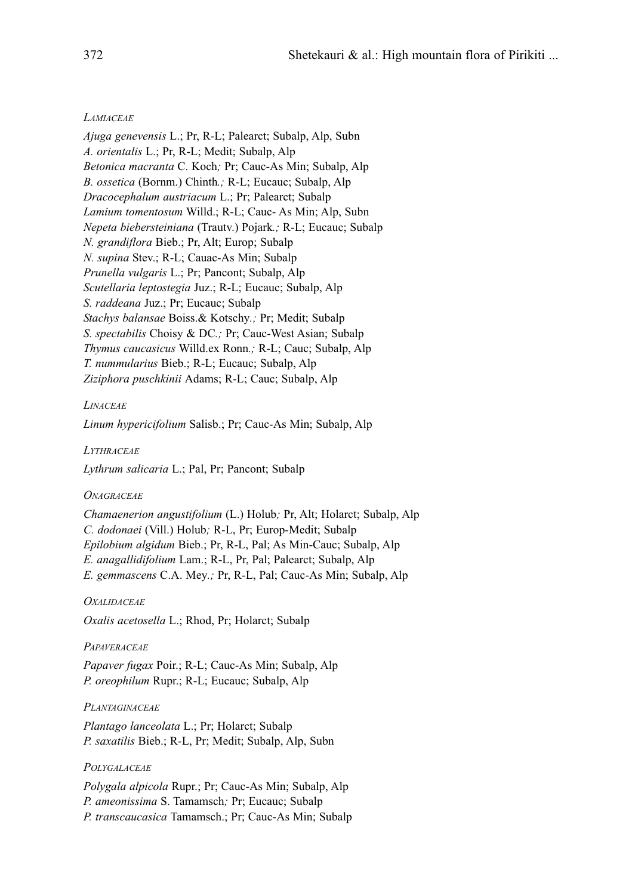### *LAMIACEAE*

*Ajuga genevensis* L.; Pr, R-L; Palearct; Subalp, Alp, Subn *A. orientalis* L.; Pr, R-L; Medit; Subalp, Alp *Betonica macranta* C. Koch*;* Pr; Cauc-As Min; Subalp, Alp *B. ossetica* (Bornm.) Chinth*.;* R-L; Eucauc; Subalp, Alp *Dracocephalum austriacum* L.; Pr; Palearct; Subalp *Lamium tomentosum* Willd.; R-L; Cauc- As Min; Alp, Subn *Nepeta biebersteiniana* (Trautv.) Pojark*.;* R-L; Eucauc; Subalp *N. grandiflora* Bieb.; Pr, Alt; Europ; Subalp *N. supina* Stev.; R-L; Cauac-As Min; Subalp *Prunella vulgaris* L.; Pr; Pancont; Subalp, Alp *Scutellaria leptostegia* Juz.; R-L; Eucauc; Subalp, Alp *S. raddeana* Juz.; Pr; Eucauc; Subalp *Stachys balansae* Boiss.& Kotschy*.;* Pr; Medit; Subalp *S. spectabilis* Choisy & DC*.;* Pr; Cauc-West Asian; Subalp *Thymus caucasicus* Willd.ex Ronn*.;* R-L; Cauc; Subalp, Alp *T. nummularius* Bieb.; R-L; Eucauc; Subalp, Alp *Ziziphora puschkinii* Adams; R-L; Cauc; Subalp, Alp

## *LINACEAE*

*Linum hypericifolium* Salisb.; Pr; Cauc-As Min; Subalp, Alp

*LYTHRACEAE*

*Lythrum salicaria* L.; Pal, Pr; Pancont; Subalp

#### *ONAGRACEAE*

*Chamaenerion angustifolium* (L.) Holub*;* Pr, Alt; Holarct; Subalp, Alp *C. dodonaei* (Vill.) Holub*;* R-L, Pr; Europ-Medit; Subalp *Epilobium algidum* Bieb.; Pr, R-L, Pal; As Min-Cauc; Subalp, Alp *E. anagallidifolium* Lam.; R-L, Pr, Pal; Palearct; Subalp, Alp *E. gemmascens* C.A. Mey*.;* Pr, R-L, Pal; Cauc-As Min; Subalp, Alp

#### *OXALIDACEAE*

*Oxalis acetosella* L.; Rhod, Pr; Holarct; Subalp

#### *PAPAVERACEAE*

*Papaver fugax* Poir.; R-L; Cauc-As Min; Subalp, Alp *P. oreophilum* Rupr.; R-L; Eucauc; Subalp, Alp

#### *PLANTAGINACEAE*

*Plantago lanceolata* L.; Pr; Holarct; Subalp *P. saxatilis* Bieb.; R-L, Pr; Medit; Subalp, Alp, Subn

#### *POLYGALACEAE*

*Polygala alpicola* Rupr.; Pr; Cauc-As Min; Subalp, Alp *P. ameonissima* S. Tamamsch*;* Pr; Eucauc; Subalp *P. transcaucasica* Tamamsch.; Pr; Cauc-As Min; Subalp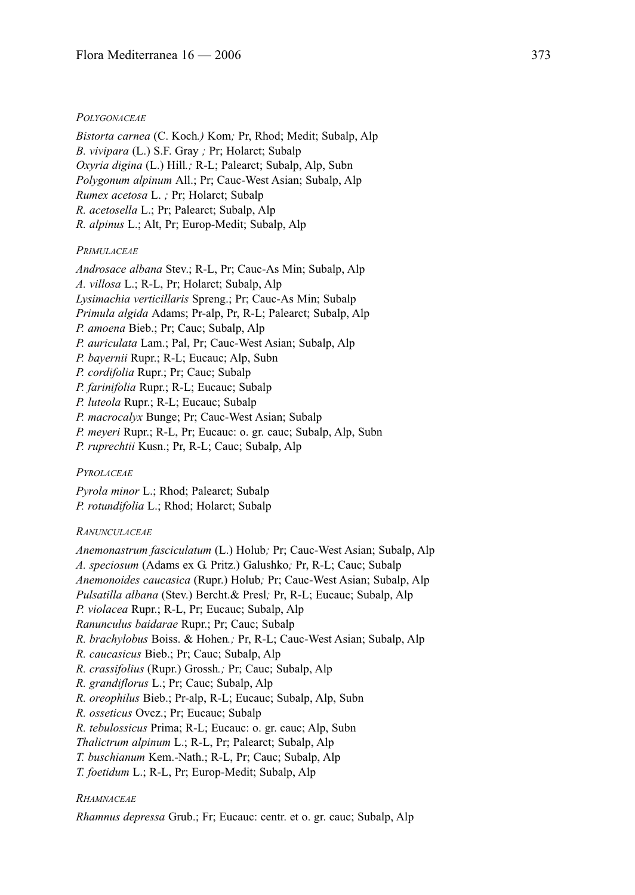#### *POLYGONACEAE*

*Bistorta carnea* (C. Koch*.)* Kom*;* Pr, Rhod; Medit; Subalp, Alp *B. vivipara* (L.) S.F. Gray *;* Pr; Holarct; Subalp *Oxyria digina* (L.) Hill*.;* R-L; Palearct; Subalp, Alp, Subn *Polygonum alpinum* All.; Pr; Cauc-West Asian; Subalp, Alp *Rumex acetosa* L. *;* Pr; Holarct; Subalp *R. acetosella* L.; Pr; Palearct; Subalp, Alp *R. alpinus* L.; Alt, Pr; Europ-Medit; Subalp, Alp

### *PRIMULACEAE*

*Androsace albana* Stev.; R-L, Pr; Cauc-As Min; Subalp, Alp *A. villosa* L.; R-L, Pr; Holarct; Subalp, Alp *Lysimachia verticillaris* Spreng.; Pr; Cauc-As Min; Subalp *Primula algida* Adams; Pr-alp, Pr, R-L; Palearct; Subalp, Alp *P. amoena* Bieb.; Pr; Cauc; Subalp, Alp *P. auriculata* Lam.; Pal, Pr; Cauc-West Asian; Subalp, Alp *P. bayernii* Rupr.; R-L; Eucauc; Alp, Subn *P. cordifolia* Rupr.; Pr; Cauc; Subalp *P. farinifolia* Rupr.; R-L; Eucauc; Subalp *P. luteola* Rupr.; R-L; Eucauc; Subalp *P. macrocalyx* Bunge; Pr; Cauc-West Asian; Subalp *P. meyeri* Rupr.; R-L, Pr; Eucauc: o. gr. cauc; Subalp, Alp, Subn *P. ruprechtii* Kusn.; Pr, R-L; Cauc; Subalp, Alp

*PYROLACEAE*

*Pyrola minor* L.; Rhod; Palearct; Subalp *P. rotundifolia* L.; Rhod; Holarct; Subalp

*RANUNCULACEAE*

*Anemonastrum fasciculatum* (L.) Holub*;* Pr; Cauc-West Asian; Subalp, Alp *A. speciosum* (Adams ex G. Pritz.) Galushko*;* Pr, R-L; Cauc; Subalp *Anemonoides caucasica* (Rupr.) Holub*;* Pr; Cauc-West Asian; Subalp, Alp *Pulsatilla albana* (Stev.) Bercht.& Presl*;* Pr, R-L; Eucauc; Subalp, Alp *P. violacea* Rupr.; R-L, Pr; Eucauc; Subalp, Alp *Ranunculus baidarae* Rupr.; Pr; Cauc; Subalp *R. brachylobus* Boiss. & Hohen*.;* Pr, R-L; Cauc-West Asian; Subalp, Alp *R. caucasicus* Bieb.; Pr; Cauc; Subalp, Alp *R. crassifolius* (Rupr.) Grossh*.;* Pr; Cauc; Subalp, Alp *R. grandiflorus* L.; Pr; Cauc; Subalp, Alp *R. oreophilus* Bieb.; Pr-alp, R-L; Eucauc; Subalp, Alp, Subn *R. osseticus* Ovcz.; Pr; Eucauc; Subalp *R. tebulossicus* Prima; R-L; Eucauc: o. gr. cauc; Alp, Subn *Thalictrum alpinum* L.; R-L, Pr; Palearct; Subalp, Alp *T. buschianum* Kem.-Nath.; R-L, Pr; Cauc; Subalp, Alp *T. foetidum* L.; R-L, Pr; Europ-Medit; Subalp, Alp

## *RHAMNACEAE*

*Rhamnus depressa* Grub.; Fr; Eucauc: centr. et o. gr. cauc; Subalp, Alp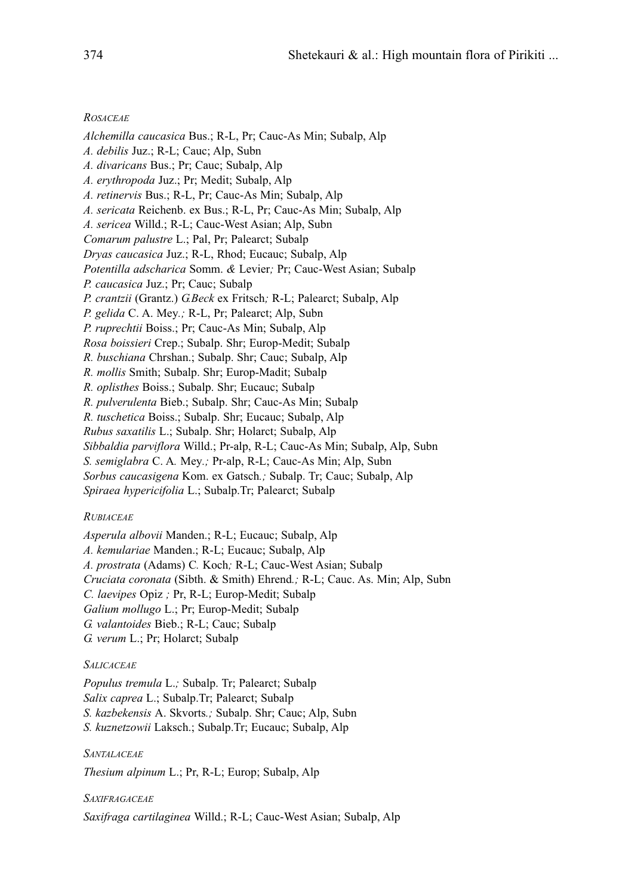## *ROSACEAE*

*Alchemilla caucasica* Bus.; R-L, Pr; Cauc-As Min; Subalp, Alp *A. debilis* Juz.; R-L; Cauc; Alp, Subn *A. divaricans* Bus.; Pr; Cauc; Subalp, Alp *A. erythropoda* Juz.; Pr; Medit; Subalp, Alp *A. retinervis* Bus.; R-L, Pr; Cauc-As Min; Subalp, Alp *A. sericata* Reichenb. ex Bus.; R-L, Pr; Cauc-As Min; Subalp, Alp *A. sericea* Willd.; R-L; Cauc-West Asian; Alp, Subn *Comarum palustre* L.; Pal, Pr; Palearct; Subalp *Dryas caucasica* Juz.; R-L, Rhod; Eucauc; Subalp, Alp *Potentilla adscharica* Somm. *&* Levier*;* Pr; Cauc-West Asian; Subalp *P. caucasica* Juz.; Pr; Cauc; Subalp *P. crantzii* (Grantz.) *G.Beck* ex Fritsch*;* R-L; Palearct; Subalp, Alp *P. gelida* C. A. Mey*.;* R-L, Pr; Palearct; Alp, Subn *P. ruprechtii* Boiss.; Pr; Cauc-As Min; Subalp, Alp *Rosa boissieri* Crep.; Subalp. Shr; Europ-Medit; Subalp *R. buschiana* Chrshan.; Subalp. Shr; Cauc; Subalp, Alp *R. mollis* Smith; Subalp. Shr; Europ-Madit; Subalp *R. oplisthes* Boiss.; Subalp. Shr; Eucauc; Subalp *R. pulverulenta* Bieb.; Subalp. Shr; Cauc-As Min; Subalp *R. tuschetica* Boiss.; Subalp. Shr; Eucauc; Subalp, Alp *Rubus saxatilis* L.; Subalp. Shr; Holarct; Subalp, Alp *Sibbaldia parviflora* Willd.; Pr-alp, R-L; Cauc-As Min; Subalp, Alp, Subn *S. semiglabra* C. A*.* Mey*.;* Pr-alp, R-L; Cauc-As Min; Alp, Subn *Sorbus caucasigena* Kom. ex Gatsch*.;* Subalp. Tr; Cauc; Subalp, Alp *Spiraea hypericifolia* L.; Subalp.Tr; Palearct; Subalp

## *RUBIACEAE*

*Asperula albovii* Manden.; R-L; Eucauc; Subalp, Alp

*A. kemulariae* Manden.; R-L; Eucauc; Subalp, Alp

*A. prostrata* (Adams) C*.* Koch*;* R-L; Cauc-West Asian; Subalp

*Cruciata coronata* (Sibth. & Smith) Ehrend*.;* R-L; Cauc. As. Min; Alp, Subn

*C. laevipes* Opiz *;* Pr, R-L; Europ-Medit; Subalp

*Galium mollugo* L.; Pr; Europ-Medit; Subalp

- *G. valantoides* Bieb.; R-L; Cauc; Subalp
- *G. verum* L.; Pr; Holarct; Subalp

## *SALICACEAE*

*Populus tremula* L.*;* Subalp. Tr; Palearct; Subalp *Salix caprea* L.; Subalp.Tr; Palearct; Subalp *S. kazbekensis* A. Skvorts*.;* Subalp. Shr; Cauc; Alp, Subn *S. kuznetzowii* Laksch.; Subalp.Tr; Eucauc; Subalp, Alp

*SANTALACEAE*

*Thesium alpinum* L.; Pr, R-L; Europ; Subalp, Alp

## *SAXIFRAGACEAE*

*Saxifraga cartilaginea* Willd.; R-L; Cauc-West Asian; Subalp, Alp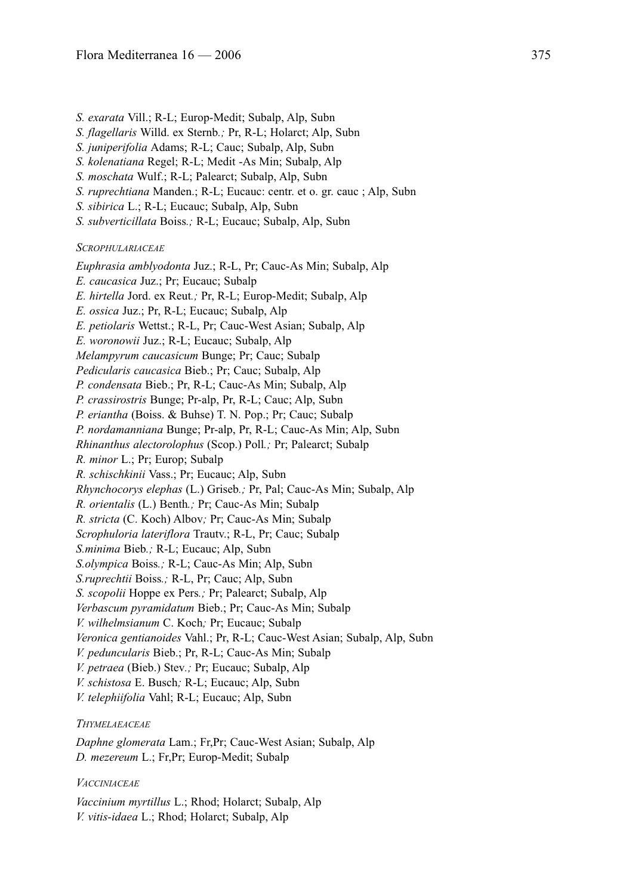- *S. exarata* Vill.; R-L; Europ-Medit; Subalp, Alp, Subn
- *S. flagellaris* Willd. ex Sternb*.;* Pr, R-L; Holarct; Alp, Subn
- *S. juniperifolia* Adams; R-L; Cauc; Subalp, Alp, Subn
- *S. kolenatiana* Regel; R-L; Medit -As Min; Subalp, Alp
- *S. moschata* Wulf.; R-L; Palearct; Subalp, Alp, Subn
- *S. ruprechtiana* Manden.; R-L; Eucauc: centr. et o. gr. cauc ; Alp, Subn
- *S. sibirica* L.; R-L; Eucauc; Subalp, Alp, Subn
- *S. subverticillata* Boiss*.;* R-L; Eucauc; Subalp, Alp, Subn

*SCROPHULARIACEAE*

*Euphrasia amblyodonta* Juz.; R-L, Pr; Cauc-As Min; Subalp, Alp *E. caucasica* Juz.; Pr; Eucauc; Subalp *E. hirtella* Jord. ex Reut*.;* Pr, R-L; Europ-Medit; Subalp, Alp *E. ossica* Juz.; Pr, R-L; Eucauc; Subalp, Alp *E. petiolaris* Wettst.; R-L, Pr; Cauc-West Asian; Subalp, Alp *E. woronowii* Juz.; R-L; Eucauc; Subalp, Alp *Melampyrum caucasicum* Bunge; Pr; Cauc; Subalp *Pedicularis caucasica* Bieb.; Pr; Cauc; Subalp, Alp *P. condensata* Bieb.; Pr, R-L; Cauc-As Min; Subalp, Alp *P. crassirostris* Bunge; Pr-alp, Pr, R-L; Cauc; Alp, Subn *P. eriantha* (Boiss. & Buhse) T. N. Pop.; Pr; Cauc; Subalp *P. nordamanniana* Bunge; Pr-alp, Pr, R-L; Cauc-As Min; Alp, Subn *Rhinanthus alectorolophus* (Scop.) Poll*.;* Pr; Palearct; Subalp *R. minor* L.; Pr; Europ; Subalp *R. schischkinii* Vass.; Pr; Eucauc; Alp, Subn *Rhynchocorys elephas* (L.) Griseb*.;* Pr, Pal; Cauc-As Min; Subalp, Alp *R. orientalis* (L.) Benth*.;* Pr; Cauc-As Min; Subalp *R. stricta* (C. Koch) Albov*;* Pr; Cauc-As Min; Subalp *Scrophuloria lateriflora* Trautv.; R-L, Pr; Cauc; Subalp *S.minima* Bieb*.;* R-L; Eucauc; Alp, Subn *S.olympica* Boiss*.;* R-L; Cauc-As Min; Alp, Subn *S.ruprechtii* Boiss*.;* R-L, Pr; Cauc; Alp, Subn *S. scopolii* Hoppe ex Pers*.;* Pr; Palearct; Subalp, Alp *Verbascum pyramidatum* Bieb.; Pr; Cauc-As Min; Subalp *V. wilhelmsianum* C. Koch*;* Pr; Eucauc; Subalp *Veronica gentianoides* Vahl.; Pr, R-L; Cauc-West Asian; Subalp, Alp, Subn *V. peduncularis* Bieb.; Pr, R-L; Cauc-As Min; Subalp *V. petraea* (Bieb.) Stev*.;* Pr; Eucauc; Subalp, Alp *V. schistosa* E. Busch*;* R-L; Eucauc; Alp, Subn

*V. telephiifolia* Vahl; R-L; Eucauc; Alp, Subn

### *THYMELAEACEAE*

*Daphne glomerata* Lam.; Fr,Pr; Cauc-West Asian; Subalp, Alp *D. mezereum* L.; Fr,Pr; Europ-Medit; Subalp

## *VACCINIACEAE*

*Vaccinium myrtillus* L.; Rhod; Holarct; Subalp, Alp *V. vitis-idaea* L.; Rhod; Holarct; Subalp, Alp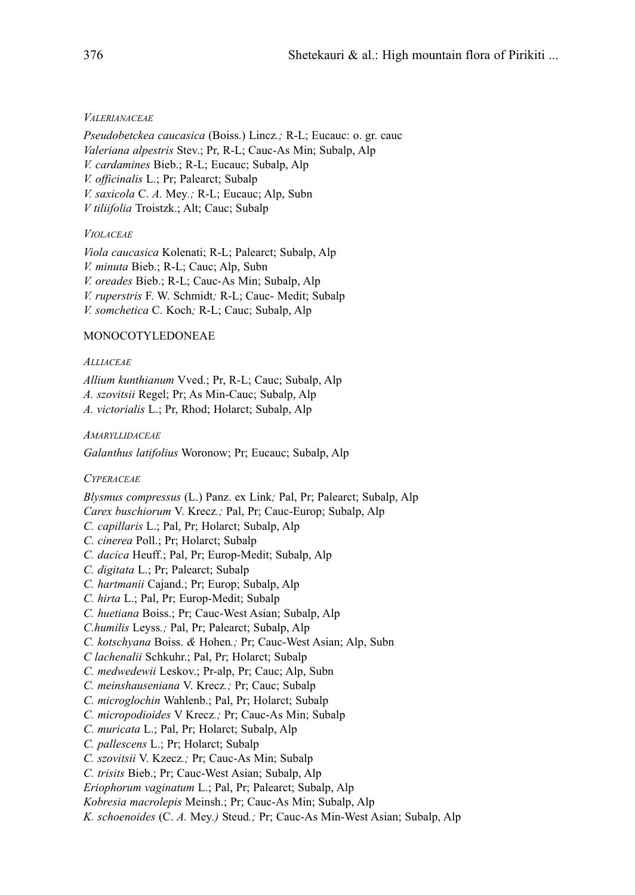## *VALERIANACEAE*

*Pseudobetckea caucasica* (Boiss.) Lincz*.;* R-L; Eucauc: o. gr. cauc *Valeriana alpestris* Stev.; Pr, R-L; Cauc-As Min; Subalp, Alp *V. cardamines* Bieb.; R-L; Eucauc; Subalp, Alp *V. officinalis* L.; Pr; Palearct; Subalp *V. saxicola* C. *A.* Mey*.;* R-L; Eucauc; Alp, Subn *V tiliifolia* Troistzk.; Alt; Cauc; Subalp

## *VIOLACEAE*

*Viola caucasica* Kolenati; R-L; Palearct; Subalp, Alp *V. minuta* Bieb.; R-L; Cauc; Alp, Subn *V. oreades* Bieb.; R-L; Cauc-As Min; Subalp, Alp *V. ruperstris* F. W. Schmidt*;* R-L; Cauc- Medit; Subalp *V. somchetica* C. Koch*;* R-L; Cauc; Subalp, Alp

## MONOCOTYLEDONEAE

## *ALLIACEAE*

*Allium kunthianum* Vved.; Pr, R-L; Cauc; Subalp, Alp *A. szovitsii* Regel; Pr; As Min-Cauc; Subalp, Alp *A. victorialis* L.; Pr, Rhod; Holarct; Subalp, Alp

## *AMARYLLIDACEAE*

*Galanthus latifolius* Woronow; Pr; Eucauc; Subalp, Alp

## *CYPERACEAE*

*Blysmus compressus* (L.) Panz. ex Link*;* Pal, Pr; Palearct; Subalp, Alp *Carex buschiorum* V. Krecz*.;* Pal, Pr; Cauc-Europ; Subalp, Alp *C. capillaris* L.; Pal, Pr; Holarct; Subalp, Alp *C. cinerea* Poll.; Pr; Holarct; Subalp *C. dacica* Heuff.; Pal, Pr; Europ-Medit; Subalp, Alp

- *C. digitata* L.; Pr; Palearct; Subalp
- *C. hartmanii* Cajand.; Pr; Europ; Subalp, Alp
- *C. hirta* L.; Pal, Pr; Europ-Medit; Subalp
- *C. huetiana* Boiss.; Pr; Cauc-West Asian; Subalp, Alp
- *C.humilis* Leyss*.;* Pal, Pr; Palearct; Subalp, Alp
- *C. kotschyana* Boiss. *&* Hohen*.;* Pr; Cauc-West Asian; Alp, Subn
- *C lachenalii* Schkuhr.; Pal, Pr; Holarct; Subalp
- *C. medwedewii* Leskov.; Pr-alp, Pr; Cauc; Alp, Subn
- *C. meinshauseniana* V. Krecz*.;* Pr; Cauc; Subalp
- *C. microglochin* Wahlenb.; Pal, Pr; Holarct; Subalp
- *C. micropodioides* V Krecz*.;* Pr; Cauc-As Min; Subalp
- *C. muricata* L.; Pal, Pr; Holarct; Subalp, Alp
- *C. pallescens* L.; Pr; Holarct; Subalp
- *C. szovitsii* V. Kzecz*.;* Pr; Cauc-As Min; Subalp
- *C. trisits* Bieb.; Pr; Cauc-West Asian; Subalp, Alp
- *Eriophorum vaginatum* L.; Pal, Pr; Palearct; Subalp, Alp
- *Kobresia macrolepis* Meinsh.; Pr; Cauc-As Min; Subalp, Alp
- *K. schoenoides* (C. *A.* Mey*.)* Steud*.;* Pr; Cauc-As Min-West Asian; Subalp, Alp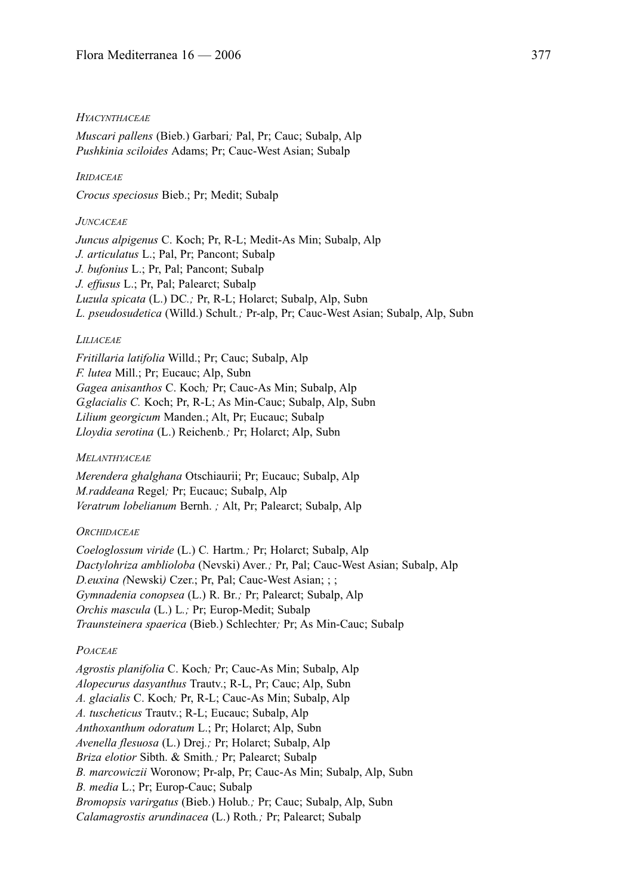#### *HYACYNTHACEAE*

*Muscari pallens* (Bieb.) Garbari*;* Pal, Pr; Cauc; Subalp, Alp *Pushkinia sciloides* Adams; Pr; Cauc-West Asian; Subalp

### *IRIDACEAE*

*Crocus speciosus* Bieb.; Pr; Medit; Subalp

### *JUNCACEAE*

*Juncus alpigenus* C. Koch; Pr, R-L; Medit-As Min; Subalp, Alp *J. articulatus* L.; Pal, Pr; Pancont; Subalp *J. bufonius* L.; Pr, Pal; Pancont; Subalp *J. effusus* L.; Pr, Pal; Palearct; Subalp *Luzula spicata* (L.) DC*.;* Pr, R-L; Holarct; Subalp, Alp, Subn *L. pseudosudetica* (Willd.) Schult*.;* Pr-alp, Pr; Cauc-West Asian; Subalp, Alp, Subn

#### *LILIACEAE*

*Fritillaria latifolia* Willd.; Pr; Cauc; Subalp, Alp *F. lutea* Mill.; Pr; Eucauc; Alp, Subn *Gagea anisanthos* C. Koch*;* Pr; Cauc-As Min; Subalp, Alp *G.glacialis C.* Koch; Pr, R-L; As Min-Cauc; Subalp, Alp, Subn *Lilium georgicum* Manden.; Alt, Pr; Eucauc; Subalp *Lloydia serotina* (L.) Reichenb*.;* Pr; Holarct; Alp, Subn

#### *MELANTHYACEAE*

*Merendera ghalghana* Otschiaurii; Pr; Eucauc; Subalp, Alp *M.raddeana* Regel*;* Pr; Eucauc; Subalp, Alp *Veratrum lobelianum* Bernh. *;* Alt, Pr; Palearct; Subalp, Alp

#### *ORCHIDACEAE*

*Coeloglossum viride* (L.) C*.* Hartm*.;* Pr; Holarct; Subalp, Alp *Dactylohriza amblioloba* (Nevski) Aver*.;* Pr, Pal; Cauc-West Asian; Subalp, Alp *D.euxina (*Newski*)* Czer.; Pr, Pal; Cauc-West Asian; ; ; *Gymnadenia conopsea* (L.) R. Br*.;* Pr; Palearct; Subalp, Alp *Orchis mascula* (L.) L*.;* Pr; Europ-Medit; Subalp *Traunsteinera spaerica* (Bieb.) Schlechter*;* Pr; As Min-Cauc; Subalp

#### *POACEAE*

*Agrostis planifolia* C. Koch*;* Pr; Cauc-As Min; Subalp, Alp *Alopecurus dasyanthus* Trautv.; R-L, Pr; Cauc; Alp, Subn *A. glacialis* C. Koch*;* Pr, R-L; Cauc-As Min; Subalp, Alp *A. tuscheticus* Trautv.; R-L; Eucauc; Subalp, Alp *Anthoxanthum odoratum* L.; Pr; Holarct; Alp, Subn *Avenella flesuosa* (L.) Drej*.;* Pr; Holarct; Subalp, Alp *Briza elotior* Sibth. & Smith*.;* Pr; Palearct; Subalp *B. marcowiczii* Woronow; Pr-alp, Pr; Cauc-As Min; Subalp, Alp, Subn *B. media* L.; Pr; Europ-Cauc; Subalp *Bromopsis varirgatus* (Bieb.) Holub*.;* Pr; Cauc; Subalp, Alp, Subn *Calamagrostis arundinacea* (L.) Roth*.;* Pr; Palearct; Subalp